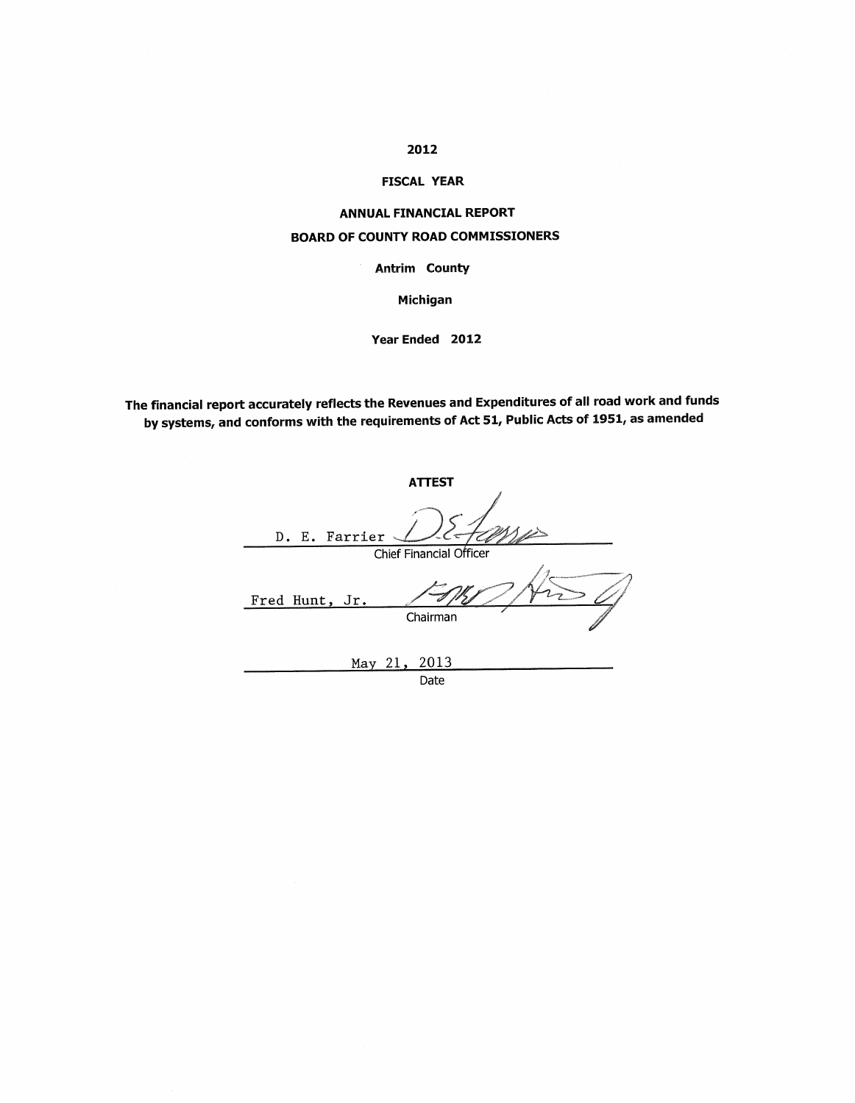# 2012

### **FISCAL YEAR**

# **ANNUAL FINANCIAL REPORT BOARD OF COUNTY ROAD COMMISSIONERS**

**Antrim County** 

Michigan

Year Ended 2012

The financial report accurately reflects the Revenues and Expenditures of all road work and funds by systems, and conforms with the requirements of Act 51, Public Acts of 1951, as amended

**ATTEST** D. E. Farrier Chief Financial Officer Fred Hunt, Jr. Chairman May 21, 2013 Date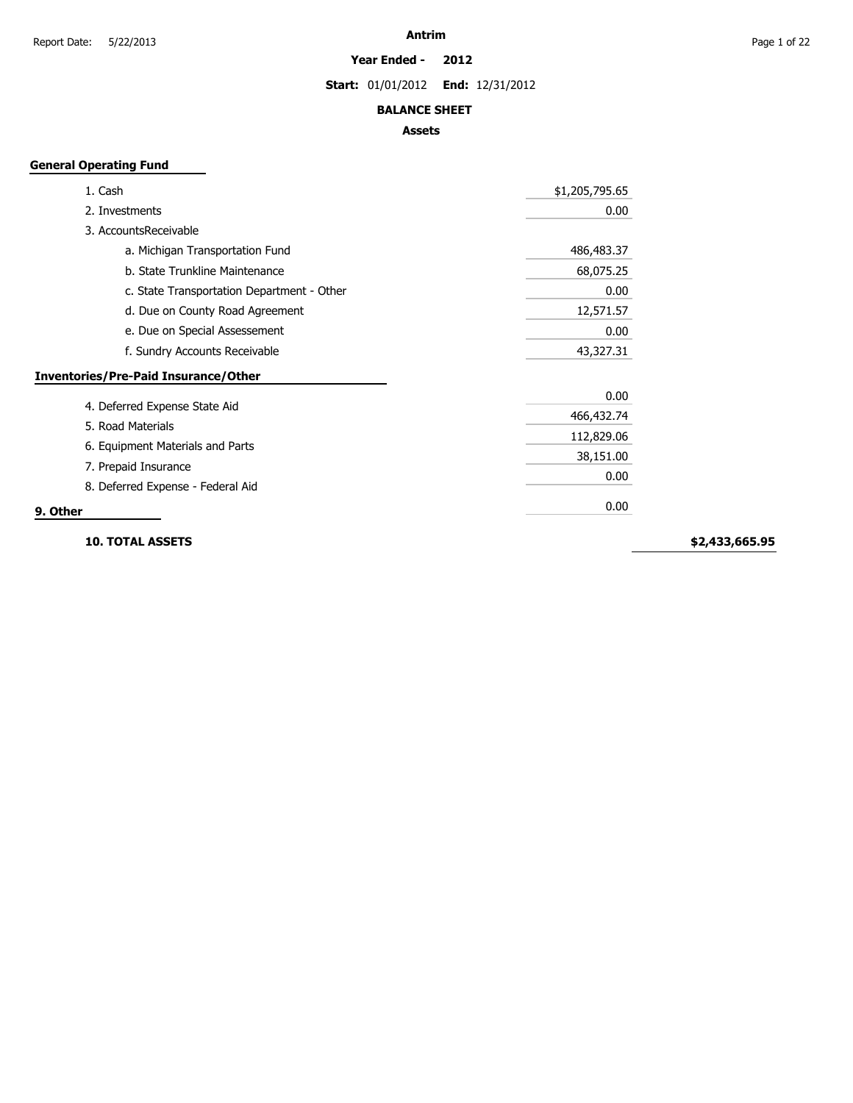**Year Ended - 2012**

**Start:** 01/01/2012 **End:** 12/31/2012

### **BALANCE SHEET**

## **Assets**

# **General Operating Fund**

| 1. Cash                                     | \$1,205,795.65 |
|---------------------------------------------|----------------|
| 2. Investments                              | 0.00           |
| 3. AccountsReceivable                       |                |
| a. Michigan Transportation Fund             | 486,483.37     |
| b. State Trunkline Maintenance              | 68,075.25      |
| c. State Transportation Department - Other  | 0.00           |
| d. Due on County Road Agreement             | 12,571.57      |
| e. Due on Special Assessement               | 0.00           |
| f. Sundry Accounts Receivable               | 43,327.31      |
| <b>Inventories/Pre-Paid Insurance/Other</b> |                |
|                                             | 0.00           |
| 4. Deferred Expense State Aid               | 466,432.74     |
| 5. Road Materials                           | 112,829.06     |
| 6. Equipment Materials and Parts            | 38,151.00      |
| 7. Prepaid Insurance                        | 0.00           |
| 8. Deferred Expense - Federal Aid           |                |
| 9. Other                                    | 0.00           |

**10. TOTAL ASSETS**

**\$2,433,665.95**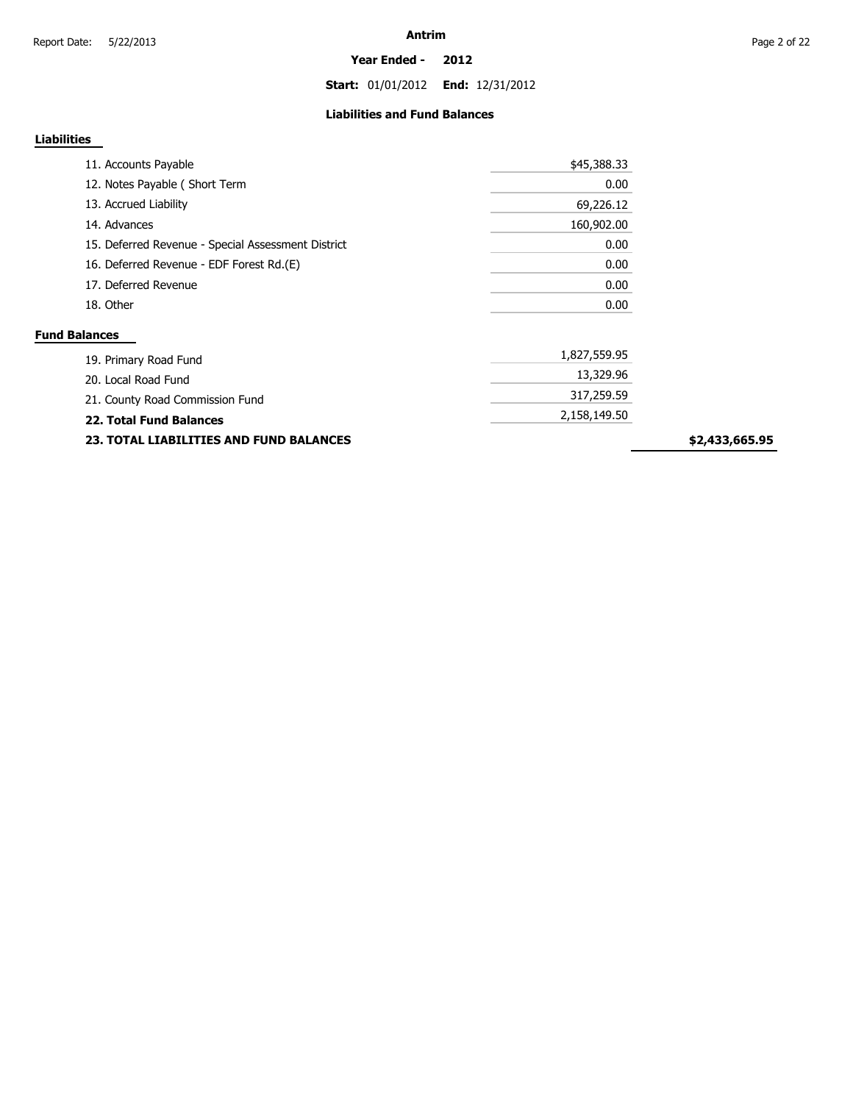**Year Ended - 2012**

**Start:** 01/01/2012 **End:** 12/31/2012

## **Liabilities and Fund Balances**

## **Liabilities**

| 11. Accounts Payable                                                                                                                                      | \$45,388.33  |
|-----------------------------------------------------------------------------------------------------------------------------------------------------------|--------------|
| 12. Notes Payable (Short Term                                                                                                                             | 0.00         |
| 13. Accrued Liability                                                                                                                                     | 69,226.12    |
| 14. Advances                                                                                                                                              | 160,902.00   |
| 15. Deferred Revenue - Special Assessment District                                                                                                        | 0.00         |
| 16. Deferred Revenue - EDF Forest Rd.(E)                                                                                                                  | 0.00         |
| 17. Deferred Revenue                                                                                                                                      | 0.00         |
| 18. Other                                                                                                                                                 | 0.00         |
| <b>Fund Balances</b>                                                                                                                                      |              |
| $\mathbf{A} \mathbf{A}$ $\mathbf{B}$ $\mathbf{A}$ $\mathbf{A}$ $\mathbf{B}$ $\mathbf{A}$ $\mathbf{B}$ $\mathbf{A}$ $\mathbf{B}$ $\mathbf{A}$ $\mathbf{A}$ | 1.827.559.95 |

| <b>23. TOTAL LIABILITIES AND FUND BALANCES</b> |               |  |
|------------------------------------------------|---------------|--|
| 22. Total Fund Balances                        | 2,158,149.50  |  |
| 21. County Road Commission Fund                | 317,259.59    |  |
| 20. Local Road Fund                            | 13,329.96     |  |
| 19. Primary Road Fund                          | כג בככי ידסיד |  |

**\$2,433,665.95**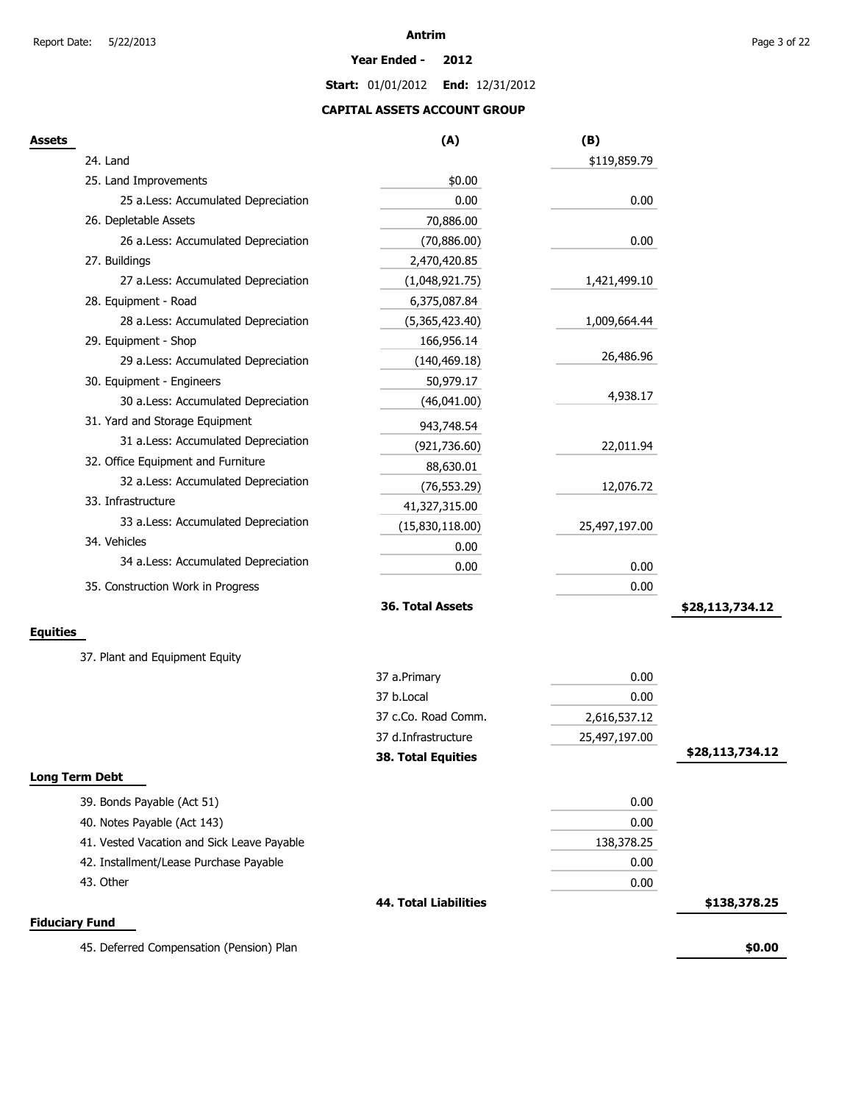#### **Year Ended - 2012**

**Start:** 01/01/2012 **End:** 12/31/2012

# **CAPITAL ASSETS ACCOUNT GROUP**

| Assets                                     | (A)                          | (B)           |                 |
|--------------------------------------------|------------------------------|---------------|-----------------|
| 24. Land                                   |                              | \$119,859.79  |                 |
| 25. Land Improvements                      | \$0.00                       |               |                 |
| 25 a.Less: Accumulated Depreciation        | 0.00                         | 0.00          |                 |
| 26. Depletable Assets                      | 70,886.00                    |               |                 |
| 26 a.Less: Accumulated Depreciation        | (70, 886.00)                 | 0.00          |                 |
| 27. Buildings                              | 2,470,420.85                 |               |                 |
| 27 a.Less: Accumulated Depreciation        | (1,048,921.75)               | 1,421,499.10  |                 |
| 28. Equipment - Road                       | 6,375,087.84                 |               |                 |
| 28 a.Less: Accumulated Depreciation        | (5,365,423.40)               | 1,009,664.44  |                 |
| 29. Equipment - Shop                       | 166,956.14                   |               |                 |
| 29 a.Less: Accumulated Depreciation        | (140, 469.18)                | 26,486.96     |                 |
| 30. Equipment - Engineers                  | 50,979.17                    |               |                 |
| 30 a.Less: Accumulated Depreciation        | (46,041.00)                  | 4,938.17      |                 |
| 31. Yard and Storage Equipment             | 943,748.54                   |               |                 |
| 31 a.Less: Accumulated Depreciation        | (921, 736.60)                | 22,011.94     |                 |
| 32. Office Equipment and Furniture         | 88,630.01                    |               |                 |
| 32 a.Less: Accumulated Depreciation        | (76, 553.29)                 | 12,076.72     |                 |
| 33. Infrastructure                         | 41,327,315.00                |               |                 |
| 33 a.Less: Accumulated Depreciation        | (15,830,118.00)              | 25,497,197.00 |                 |
| 34. Vehicles                               | 0.00                         |               |                 |
| 34 a.Less: Accumulated Depreciation        | 0.00                         | 0.00          |                 |
| 35. Construction Work in Progress          |                              | 0.00          |                 |
|                                            | 36. Total Assets             |               | \$28,113,734.12 |
| Equities                                   |                              |               |                 |
|                                            |                              |               |                 |
| 37. Plant and Equipment Equity             |                              |               |                 |
|                                            | 37 a.Primary                 | 0.00          |                 |
|                                            | 37 b.Local                   | 0.00          |                 |
|                                            | 37 c.Co. Road Comm.          | 2,616,537.12  |                 |
|                                            | 37 d.Infrastructure          | 25,497,197.00 | \$28,113,734.12 |
|                                            | <b>38. Total Equities</b>    |               |                 |
| <b>Long Term Debt</b>                      |                              |               |                 |
| 39. Bonds Payable (Act 51)                 |                              | 0.00          |                 |
| 40. Notes Payable (Act 143)                |                              | 0.00          |                 |
| 41. Vested Vacation and Sick Leave Payable |                              | 138,378.25    |                 |
| 42. Installment/Lease Purchase Payable     |                              | 0.00          |                 |
| 43. Other                                  |                              | 0.00          |                 |
|                                            | <b>44. Total Liabilities</b> |               | \$138,378.25    |
| <b>Fiduciary Fund</b>                      |                              |               |                 |
| 45. Deferred Compensation (Pension) Plan   |                              |               | \$0.00          |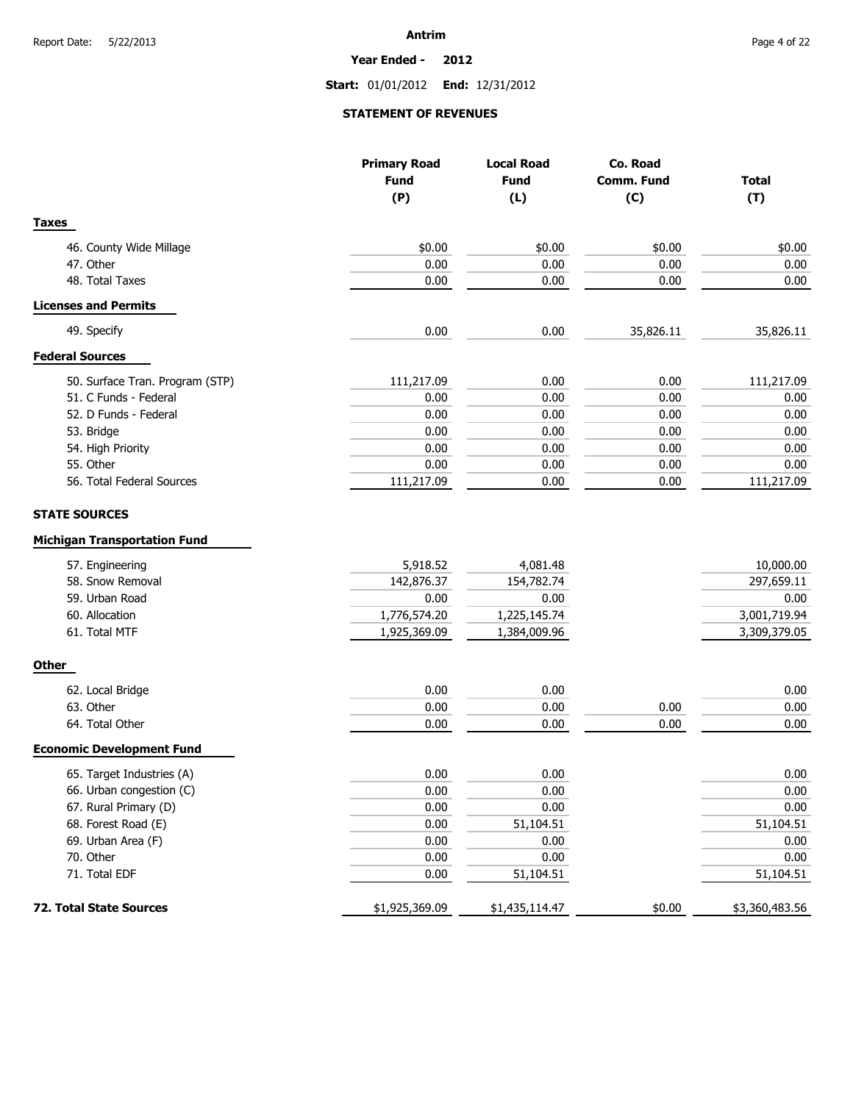**Year Ended - 2012**

**Start:** 01/01/2012 **End:** 12/31/2012

## **STATEMENT OF REVENUES**

|                                                             | <b>Primary Road</b><br><b>Fund</b><br>(P) | <b>Local Road</b><br><b>Fund</b><br>(L) | Co. Road<br><b>Comm. Fund</b><br>(C) | <b>Total</b><br>(T) |
|-------------------------------------------------------------|-------------------------------------------|-----------------------------------------|--------------------------------------|---------------------|
| <b>Taxes</b>                                                |                                           |                                         |                                      |                     |
| 46. County Wide Millage                                     | \$0.00                                    | \$0.00                                  | \$0.00                               | \$0.00              |
| 47. Other                                                   | 0.00                                      | 0.00                                    | 0.00                                 | 0.00                |
| 48. Total Taxes                                             | 0.00                                      | 0.00                                    | 0.00                                 | 0.00                |
| <b>Licenses and Permits</b>                                 |                                           |                                         |                                      |                     |
| 49. Specify                                                 | 0.00                                      | 0.00                                    | 35,826.11                            | 35,826.11           |
| <b>Federal Sources</b>                                      |                                           |                                         |                                      |                     |
| 50. Surface Tran. Program (STP)                             | 111,217.09                                | 0.00                                    | 0.00                                 | 111,217.09          |
| 51. C Funds - Federal                                       | 0.00                                      | 0.00                                    | 0.00                                 | 0.00                |
| 52. D Funds - Federal                                       | 0.00                                      | 0.00                                    | 0.00                                 | 0.00                |
| 53. Bridge                                                  | 0.00                                      | 0.00                                    | 0.00                                 | 0.00                |
| 54. High Priority                                           | 0.00                                      | 0.00                                    | 0.00                                 | 0.00                |
| 55. Other                                                   | 0.00                                      | 0.00                                    | 0.00                                 | 0.00                |
| 56. Total Federal Sources                                   | 111,217.09                                | 0.00                                    | 0.00                                 | 111,217.09          |
| <b>STATE SOURCES</b><br><b>Michigan Transportation Fund</b> |                                           |                                         |                                      |                     |
| 57. Engineering                                             | 5,918.52                                  | 4,081.48                                |                                      | 10,000.00           |
| 58. Snow Removal                                            | 142,876.37                                | 154,782.74                              |                                      | 297,659.11          |
| 59. Urban Road                                              | 0.00                                      | 0.00                                    |                                      | 0.00                |
| 60. Allocation                                              | 1,776,574.20                              | 1,225,145.74                            |                                      | 3,001,719.94        |
| 61. Total MTF                                               | 1,925,369.09                              | 1,384,009.96                            |                                      | 3,309,379.05        |
| <b>Other</b>                                                |                                           |                                         |                                      |                     |
| 62. Local Bridge                                            | 0.00                                      | 0.00                                    |                                      | 0.00                |
| 63. Other                                                   | 0.00                                      | 0.00                                    | 0.00                                 | 0.00                |
| 64. Total Other                                             | 0.00                                      | 0.00                                    | 0.00                                 | 0.00                |
| <b>Economic Development Fund</b>                            |                                           |                                         |                                      |                     |
| 65. Target Industries (A)                                   | 0.00                                      | 0.00                                    |                                      | 0.00                |
| 66. Urban congestion (C)                                    | 0.00                                      | 0.00                                    |                                      | $0.00\,$            |
| 67. Rural Primary (D)                                       | 0.00                                      | 0.00                                    |                                      | 0.00                |
| 68. Forest Road (E)                                         | 0.00                                      | 51,104.51                               |                                      | 51,104.51           |
| 69. Urban Area (F)                                          | 0.00                                      | 0.00                                    |                                      | 0.00                |
| 70. Other                                                   | 0.00                                      | 0.00                                    |                                      | 0.00                |
| 71. Total EDF                                               | 0.00                                      | 51,104.51                               |                                      | 51,104.51           |
| 72. Total State Sources                                     | \$1,925,369.09                            | \$1,435,114.47                          | \$0.00                               | \$3,360,483.56      |
|                                                             |                                           |                                         |                                      |                     |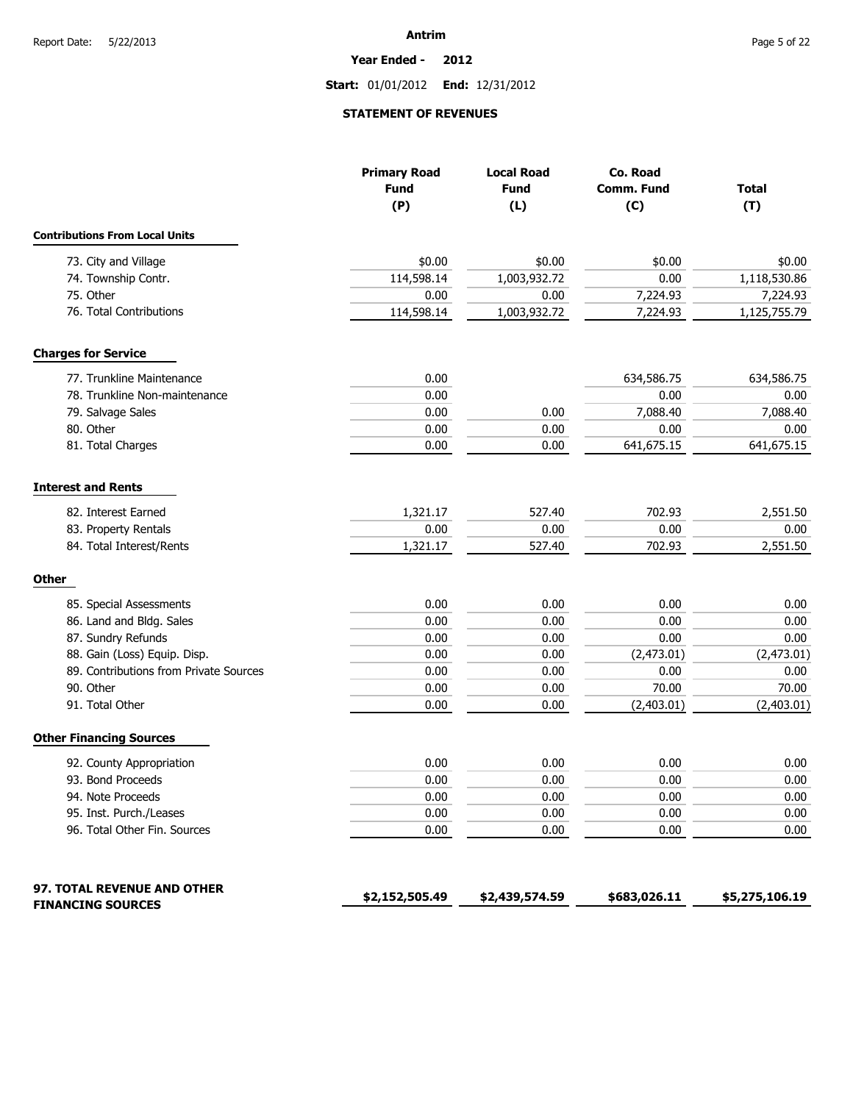**Year Ended - 2012**

**Start:** 01/01/2012 **End:** 12/31/2012

## **STATEMENT OF REVENUES**

|                                        | <b>Primary Road</b><br><b>Fund</b><br>(P) | <b>Local Road</b><br><b>Fund</b><br>(L) | Co. Road<br>Comm. Fund<br>(C) | <b>Total</b><br>(T) |
|----------------------------------------|-------------------------------------------|-----------------------------------------|-------------------------------|---------------------|
| <b>Contributions From Local Units</b>  |                                           |                                         |                               |                     |
| 73. City and Village                   | \$0.00                                    | \$0.00                                  | \$0.00                        | \$0.00              |
| 74. Township Contr.                    | 114,598.14                                | 1,003,932.72                            | 0.00                          | 1,118,530.86        |
| 75. Other                              | 0.00                                      | 0.00                                    | 7,224.93                      | 7,224.93            |
| 76. Total Contributions                | 114,598.14                                | 1,003,932.72                            | 7,224.93                      | 1,125,755.79        |
| <b>Charges for Service</b>             |                                           |                                         |                               |                     |
| 77. Trunkline Maintenance              | 0.00                                      |                                         | 634,586.75                    | 634,586.75          |
| 78. Trunkline Non-maintenance          | 0.00                                      |                                         | 0.00                          | 0.00                |
| 79. Salvage Sales                      | 0.00                                      | 0.00                                    | 7,088.40                      | 7,088.40            |
| 80. Other                              | 0.00                                      | 0.00                                    | 0.00                          | 0.00                |
| 81. Total Charges                      | 0.00                                      | 0.00                                    | 641,675.15                    | 641,675.15          |
| <b>Interest and Rents</b>              |                                           |                                         |                               |                     |
| 82. Interest Earned                    | 1,321.17                                  | 527.40                                  | 702.93                        | 2,551.50            |
| 83. Property Rentals                   | 0.00                                      | 0.00                                    | 0.00                          | 0.00                |
| 84. Total Interest/Rents               | 1,321.17                                  | 527.40                                  | 702.93                        | 2,551.50            |
| <b>Other</b>                           |                                           |                                         |                               |                     |
| 85. Special Assessments                | 0.00                                      | 0.00                                    | 0.00                          | 0.00                |
| 86. Land and Bldg. Sales               | 0.00                                      | 0.00                                    | 0.00                          | 0.00                |
| 87. Sundry Refunds                     | 0.00                                      | 0.00                                    | 0.00                          | 0.00                |
| 88. Gain (Loss) Equip. Disp.           | 0.00                                      | 0.00                                    | (2,473.01)                    | (2,473.01)          |
| 89. Contributions from Private Sources | 0.00                                      | 0.00                                    | 0.00                          | 0.00                |
| 90. Other                              | 0.00                                      | 0.00                                    | 70.00                         | 70.00               |
| 91. Total Other                        | 0.00                                      | 0.00                                    | (2,403.01)                    | (2,403.01)          |
| <b>Other Financing Sources</b>         |                                           |                                         |                               |                     |
| 92. County Appropriation               | 0.00                                      | 0.00                                    | 0.00                          | 0.00                |
| 93. Bond Proceeds                      | 0.00                                      | 0.00                                    | 0.00                          | 0.00                |
| 94. Note Proceeds                      | $0.00\,$                                  | 0.00                                    | 0.00                          | 0.00                |
| 95. Inst. Purch./Leases                | 0.00                                      | 0.00                                    | 0.00                          | 0.00                |
| 96. Total Other Fin. Sources           | 0.00                                      | 0.00                                    | 0.00                          | 0.00                |
| 97. TOTAL REVENUE AND OTHER            |                                           |                                         |                               |                     |
| <b>FINANCING SOURCES</b>               | \$2,152,505.49                            | \$2,439,574.59                          | \$683,026.11                  | \$5,275,106.19      |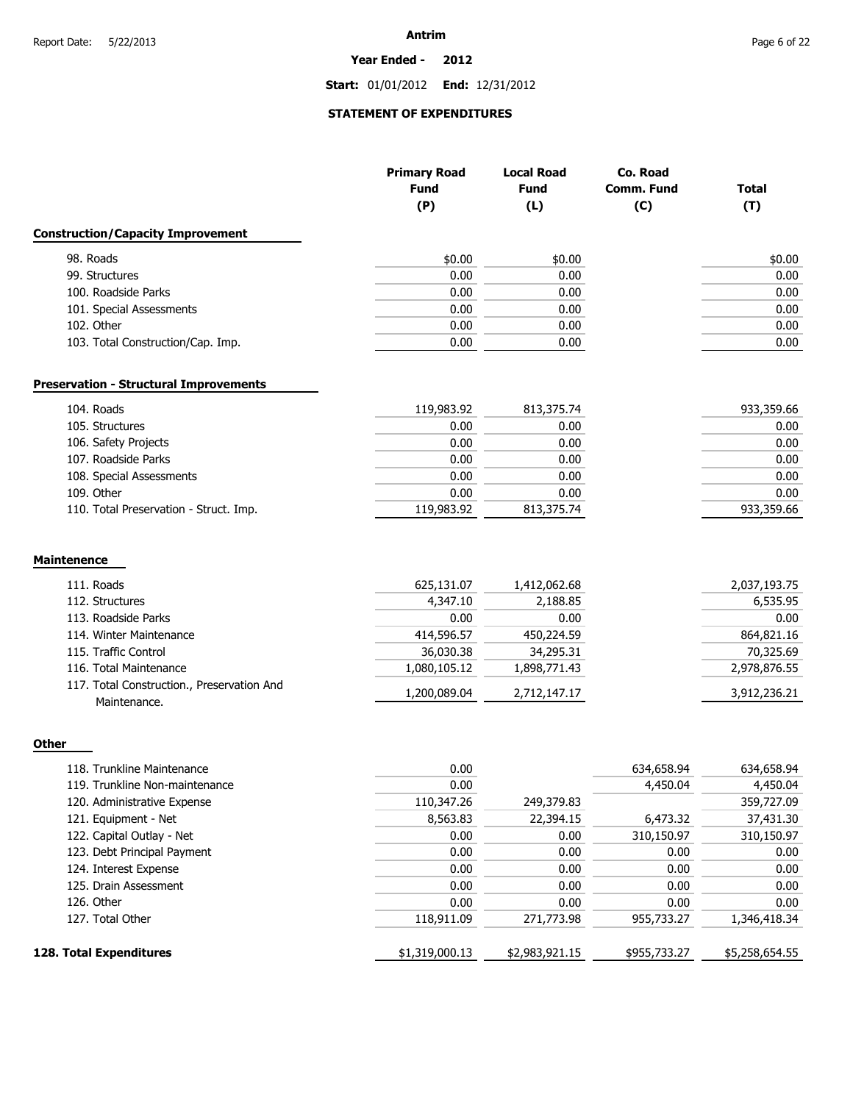**Year Ended - 2012**

**Start:** 01/01/2012 **End:** 12/31/2012

# **STATEMENT OF EXPENDITURES**

|                                                            | <b>Primary Road</b> | <b>Local Road</b> | Co. Road   |              |
|------------------------------------------------------------|---------------------|-------------------|------------|--------------|
|                                                            | <b>Fund</b>         | <b>Fund</b>       | Comm. Fund | <b>Total</b> |
|                                                            | (P)                 | (L)               | (C)        | (T)          |
| <b>Construction/Capacity Improvement</b>                   |                     |                   |            |              |
| 98. Roads                                                  | \$0.00              | \$0.00            |            | \$0.00       |
| 99. Structures                                             | 0.00                | 0.00              |            | 0.00         |
| 100. Roadside Parks                                        | 0.00                | 0.00              |            | 0.00         |
| 101. Special Assessments                                   | 0.00                | 0.00              |            | 0.00         |
| 102. Other                                                 | 0.00                | 0.00              |            | 0.00         |
| 103. Total Construction/Cap. Imp.                          | 0.00                | 0.00              |            | 0.00         |
| <b>Preservation - Structural Improvements</b>              |                     |                   |            |              |
| 104. Roads                                                 | 119,983.92          | 813,375.74        |            | 933,359.66   |
| 105. Structures                                            | 0.00                | 0.00              |            | 0.00         |
| 106. Safety Projects                                       | 0.00                | 0.00              |            | 0.00         |
| 107. Roadside Parks                                        | 0.00                | 0.00              |            | 0.00         |
| 108. Special Assessments                                   | 0.00                | 0.00              |            | 0.00         |
| 109. Other                                                 | 0.00                | 0.00              |            | 0.00         |
| 110. Total Preservation - Struct. Imp.                     | 119,983.92          | 813,375.74        |            | 933,359.66   |
| <b>Maintenence</b>                                         |                     |                   |            |              |
| 111. Roads                                                 | 625,131.07          | 1,412,062.68      |            | 2,037,193.75 |
| 112. Structures                                            | 4,347.10            | 2,188.85          |            | 6,535.95     |
| 113. Roadside Parks                                        | 0.00                | 0.00              |            | 0.00         |
| 114. Winter Maintenance                                    | 414,596.57          | 450,224.59        |            | 864,821.16   |
| 115. Traffic Control                                       | 36,030.38           | 34,295.31         |            | 70,325.69    |
| 116. Total Maintenance                                     | 1,080,105.12        | 1,898,771.43      |            | 2,978,876.55 |
| 117. Total Construction., Preservation And<br>Maintenance. | 1,200,089.04        | 2,712,147.17      |            | 3,912,236.21 |
|                                                            |                     |                   |            |              |
| Other                                                      |                     |                   |            |              |
| 118. Trunkline Maintenance                                 | 0.00                |                   | 634,658.94 | 634,658.94   |
| 110 Tumbling New mointenance                               | 0.00                |                   | 1.450A     | 1.450A       |

|                           | 119. Trunkline Non-maintenance | 0.00           |                | 4,450.04     | 4,450.04       |
|---------------------------|--------------------------------|----------------|----------------|--------------|----------------|
|                           | 120. Administrative Expense    | 110,347.26     | 249,379.83     |              | 359,727.09     |
| 121. Equipment - Net      |                                | 8,563.83       | 22,394.15      | 6,473.32     | 37,431.30      |
| 122. Capital Outlay - Net |                                | 0.00           | 0.00           | 310,150.97   | 310,150.97     |
|                           | 123. Debt Principal Payment    | 0.00           | 0.00           | 0.00         | 0.00           |
| 124. Interest Expense     |                                | 0.00           | 0.00           | 0.00         | 0.00           |
| 125. Drain Assessment     |                                | 0.00           | 0.00           | 0.00         | 0.00           |
| 126. Other                |                                | 0.00           | 0.00           | 0.00         | 0.00           |
| 127. Total Other          |                                | 118,911.09     | 271,773.98     | 955,733.27   | 1,346,418.34   |
| 128. Total Expenditures   |                                | \$1,319,000.13 | \$2,983,921.15 | \$955,733.27 | \$5,258,654.55 |
|                           |                                |                |                |              |                |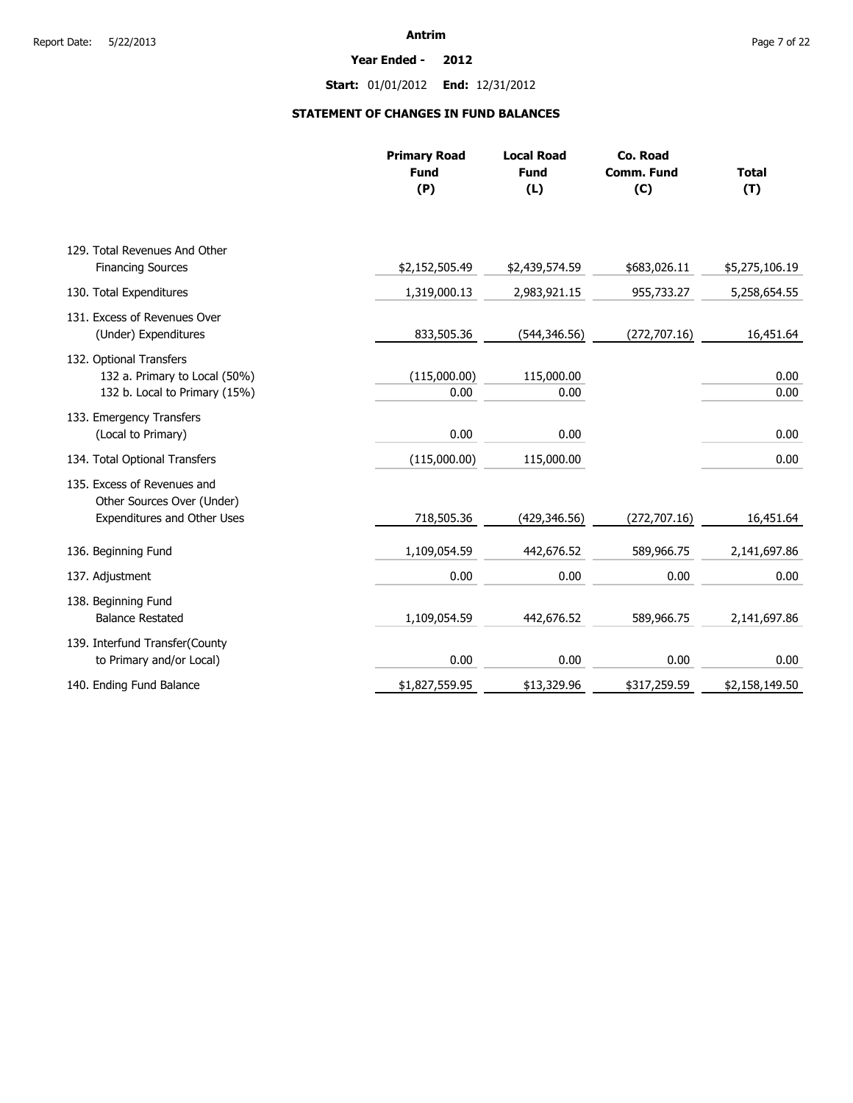#### **Year Ended - 2012**

**Start:** 01/01/2012 **End:** 12/31/2012

# **STATEMENT OF CHANGES IN FUND BALANCES**

| <b>Primary Road</b><br><b>Fund</b><br>(P) | <b>Local Road</b><br><b>Fund</b><br>(L) | Co. Road<br><b>Comm. Fund</b><br>(C) | <b>Total</b><br>(T) |
|-------------------------------------------|-----------------------------------------|--------------------------------------|---------------------|
|                                           |                                         |                                      |                     |
| \$2,152,505.49                            | \$2,439,574.59                          | \$683,026.11                         | \$5,275,106.19      |
| 1,319,000.13                              | 2,983,921.15                            | 955,733.27                           | 5,258,654.55        |
| 833,505.36                                | (544, 346.56)                           | (272, 707.16)                        | 16,451.64           |
|                                           |                                         |                                      | 0.00                |
| 0.00                                      | 0.00                                    |                                      | 0.00                |
| 0.00                                      | 0.00                                    |                                      | 0.00                |
| (115,000.00)                              | 115,000.00                              |                                      | 0.00                |
| 718,505.36                                | (429, 346.56)                           | (272, 707.16)                        | 16,451.64           |
| 1,109,054.59                              | 442,676.52                              | 589,966.75                           | 2,141,697.86        |
| 0.00                                      | 0.00                                    | 0.00                                 | 0.00                |
| 1,109,054.59                              | 442,676.52                              | 589,966.75                           | 2,141,697.86        |
| 0.00                                      | 0.00                                    | 0.00                                 | 0.00                |
| \$1,827,559.95                            | \$13,329.96                             | \$317,259.59                         | \$2,158,149.50      |
|                                           | (115,000.00)                            | 115,000.00                           |                     |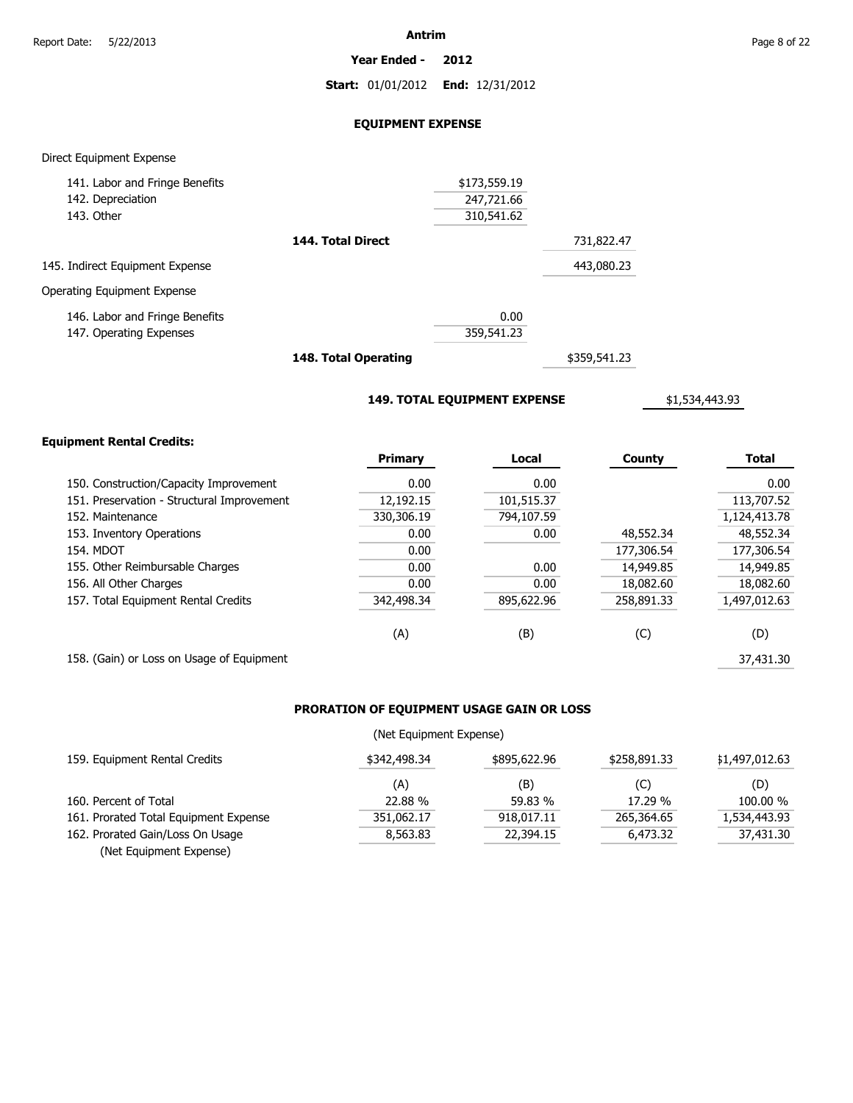**Year Ended - 2012**

**Start:** 01/01/2012 **End:** 12/31/2012

## **EQUIPMENT EXPENSE**

### Direct Equipment Expense

|                   | \$173,559.19 |            |
|-------------------|--------------|------------|
|                   | 247,721.66   |            |
|                   | 310,541.62   |            |
| 144. Total Direct |              | 731,822.47 |
|                   |              | 443,080.23 |
|                   |              |            |
|                   | 0.00         |            |
|                   | 359,541.23   |            |
|                   |              |            |

**148. Total Operating**

\$359,541.23

# **149. TOTAL EQUIPMENT EXPENSE**

\$1,534,443.93

## **Equipment Rental Credits:**

|                                            | <b>Primary</b> | Local      | <b>County</b> | <b>Total</b> |
|--------------------------------------------|----------------|------------|---------------|--------------|
| 150. Construction/Capacity Improvement     | 0.00           | 0.00       |               | 0.00         |
| 151. Preservation - Structural Improvement | 12,192.15      | 101,515.37 |               | 113,707.52   |
| 152. Maintenance                           | 330,306.19     | 794,107.59 |               | 1,124,413.78 |
| 153. Inventory Operations                  | 0.00           | 0.00       | 48,552.34     | 48,552.34    |
| <b>154. MDOT</b>                           | 0.00           |            | 177,306.54    | 177,306.54   |
| 155. Other Reimbursable Charges            | 0.00           | 0.00       | 14,949.85     | 14,949.85    |
| 156. All Other Charges                     | 0.00           | 0.00       | 18,082.60     | 18,082.60    |
| 157. Total Equipment Rental Credits        | 342,498.34     | 895,622.96 | 258,891.33    | 1,497,012.63 |
|                                            | (A)            | (B)        | (C)           | (D)          |
| 158. (Gain) or Loss on Usage of Equipment  |                |            |               | 37,431.30    |

# **PRORATION OF EQUIPMENT USAGE GAIN OR LOSS**

## (Net Equipment Expense)

| 159. Equipment Rental Credits         | \$342,498.34 | \$895,622.96 | \$258,891.33 | \$1,497,012.63 |
|---------------------------------------|--------------|--------------|--------------|----------------|
|                                       | (A)          | (B)          | (C)          | (D)            |
| 160. Percent of Total                 | 22.88%       | 59.83 %      | 17.29 %      | 100.00 %       |
| 161. Prorated Total Equipment Expense | 351,062.17   | 918,017.11   | 265,364.65   | 1,534,443.93   |
| 162. Prorated Gain/Loss On Usage      | 8,563.83     | 22,394.15    | 6,473.32     | 37,431.30      |
| (Net Equipment Expense)               |              |              |              |                |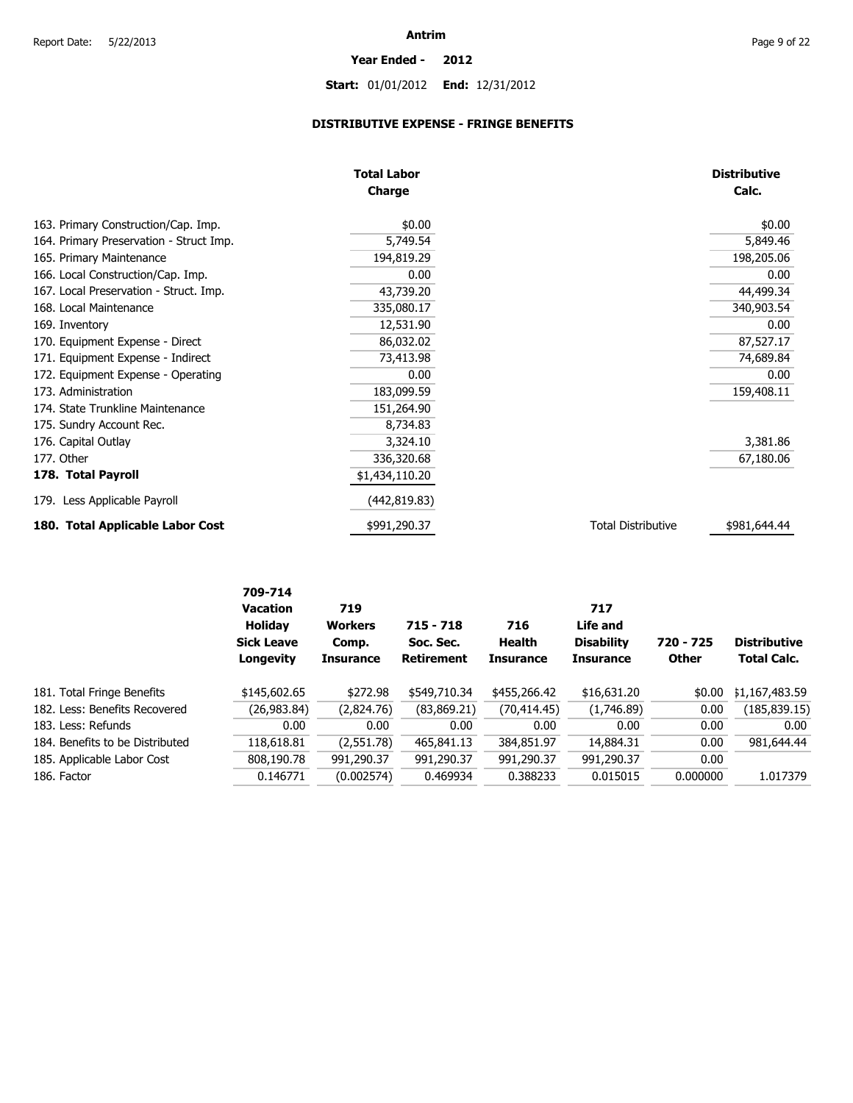# **Year Ended - 2012**

# **Start:** 01/01/2012 **End:** 12/31/2012

# **DISTRIBUTIVE EXPENSE - FRINGE BENEFITS**

|                                         | <b>Total Labor</b> |                           | <b>Distributive</b> |
|-----------------------------------------|--------------------|---------------------------|---------------------|
|                                         | Charge             |                           | Calc.               |
| 163. Primary Construction/Cap. Imp.     | \$0.00             |                           | \$0.00              |
| 164. Primary Preservation - Struct Imp. | 5,749.54           |                           | 5,849.46            |
| 165. Primary Maintenance                | 194,819.29         |                           | 198,205.06          |
| 166. Local Construction/Cap. Imp.       | 0.00               |                           | 0.00                |
| 167. Local Preservation - Struct. Imp.  | 43,739.20          |                           | 44,499.34           |
| 168. Local Maintenance                  | 335,080.17         |                           | 340,903.54          |
| 169. Inventory                          | 12,531.90          |                           | 0.00                |
| 170. Equipment Expense - Direct         | 86,032.02          |                           | 87,527.17           |
| 171. Equipment Expense - Indirect       | 73,413.98          |                           | 74,689.84           |
| 172. Equipment Expense - Operating      | 0.00               |                           | 0.00                |
| 173. Administration                     | 183,099.59         |                           | 159,408.11          |
| 174. State Trunkline Maintenance        | 151,264.90         |                           |                     |
| 175. Sundry Account Rec.                | 8,734.83           |                           |                     |
| 176. Capital Outlay                     | 3,324.10           |                           | 3,381.86            |
| 177. Other                              | 336,320.68         |                           | 67,180.06           |
| 178. Total Payroll                      | \$1,434,110.20     |                           |                     |
| 179. Less Applicable Payroll            | (442,819.83)       |                           |                     |
| 180. Total Applicable Labor Cost        | \$991,290.37       | <b>Total Distributive</b> | \$981,644.44        |

|                                 | 709-714<br>Vacation<br><b>Holidav</b><br><b>Sick Leave</b><br>Longevity | 719<br><b>Workers</b><br>Comp.<br><b>Insurance</b> | $715 - 718$<br>Soc. Sec.<br><b>Retirement</b> | 716<br>Health<br><b>Insurance</b> | 717<br>Life and<br><b>Disability</b><br><b>Insurance</b> | 720 - 725<br><b>Other</b> | <b>Distributive</b><br><b>Total Calc.</b> |
|---------------------------------|-------------------------------------------------------------------------|----------------------------------------------------|-----------------------------------------------|-----------------------------------|----------------------------------------------------------|---------------------------|-------------------------------------------|
| 181. Total Fringe Benefits      | \$145,602.65                                                            | \$272.98                                           | \$549,710.34                                  | \$455,266.42                      | \$16,631.20                                              | \$0.00                    | \$1,167,483.59                            |
| 182. Less: Benefits Recovered   | (26,983.84)                                                             | (2,824.76)                                         | (83, 869.21)                                  | (70, 414.45)                      | (1,746.89)                                               | 0.00                      | (185, 839.15)                             |
| 183. Less: Refunds              | 0.00                                                                    | 0.00                                               | 0.00                                          | 0.00                              | 0.00                                                     | 0.00                      | 0.00                                      |
| 184. Benefits to be Distributed | 118,618.81                                                              | (2,551.78)                                         | 465,841.13                                    | 384,851.97                        | 14,884.31                                                | 0.00                      | 981,644.44                                |
| 185. Applicable Labor Cost      | 808,190.78                                                              | 991,290.37                                         | 991,290.37                                    | 991,290.37                        | 991,290.37                                               | 0.00                      |                                           |
| 186. Factor                     | 0.146771                                                                | (0.002574)                                         | 0.469934                                      | 0.388233                          | 0.015015                                                 | 0.000000                  | 1.017379                                  |
|                                 |                                                                         |                                                    |                                               |                                   |                                                          |                           |                                           |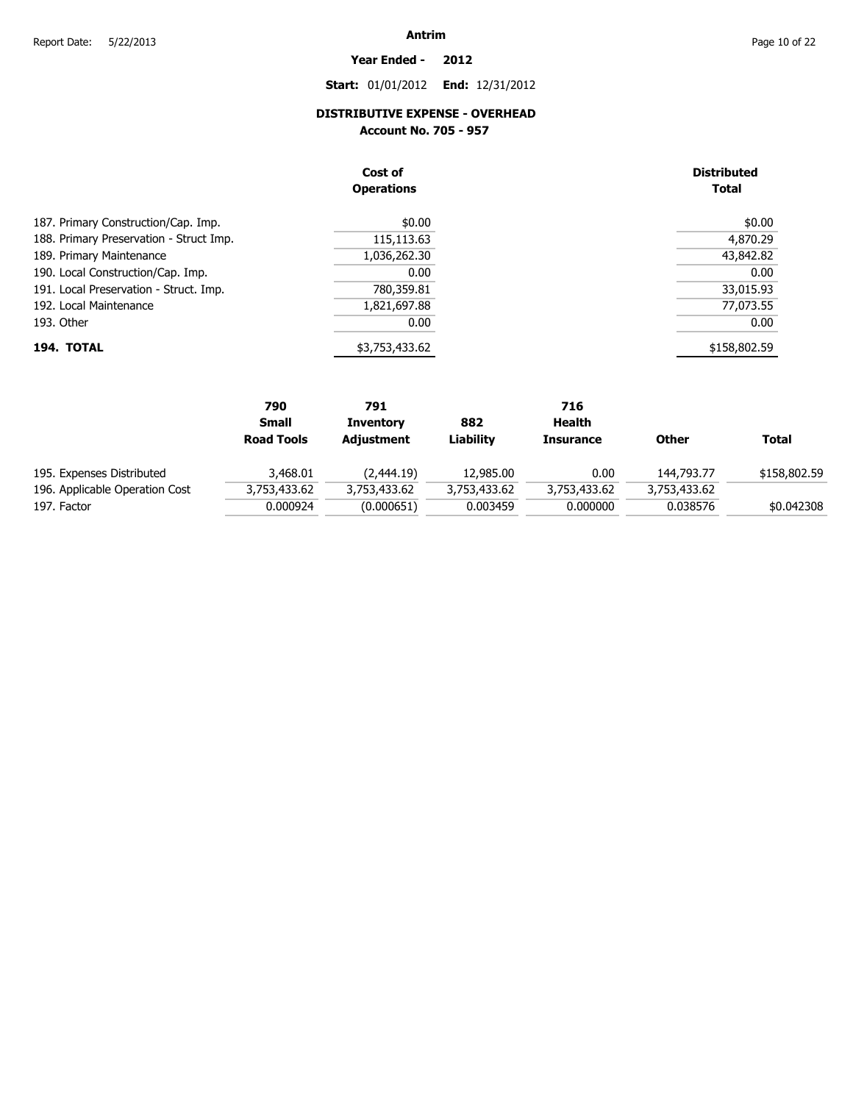# **Year Ended - 2012**

**Start:** 01/01/2012 **End:** 12/31/2012

# **DISTRIBUTIVE EXPENSE - OVERHEAD**

**Account No. 705 - 957** 

|                                         | Cost of<br><b>Operations</b> | <b>Distributed</b><br><b>Total</b> |
|-----------------------------------------|------------------------------|------------------------------------|
| 187. Primary Construction/Cap. Imp.     | \$0.00                       | \$0.00                             |
| 188. Primary Preservation - Struct Imp. | 115,113.63                   | 4,870.29                           |
| 189. Primary Maintenance                | 1,036,262.30                 | 43,842.82                          |
| 190. Local Construction/Cap. Imp.       | 0.00                         | 0.00                               |
| 191. Local Preservation - Struct. Imp.  | 780,359.81                   | 33,015.93                          |
| 192. Local Maintenance                  | 1,821,697.88                 | 77,073.55                          |
| 193. Other                              | 0.00                         | 0.00                               |
| 194. TOTAL                              | \$3,753,433.62               | \$158,802.59                       |

|                                | 790               | 791              |              | 716              |              |              |
|--------------------------------|-------------------|------------------|--------------|------------------|--------------|--------------|
|                                | <b>Small</b>      | <b>Inventory</b> | 882          | Health           |              |              |
|                                | <b>Road Tools</b> | Adjustment       | Liabilitv    | <b>Insurance</b> | Other        | <b>Total</b> |
| 195. Expenses Distributed      | 3,468.01          | (2.444.19)       | 12,985.00    | 0.00             | 144,793.77   | \$158,802.59 |
| 196. Applicable Operation Cost | 3,753,433.62      | 3,753,433.62     | 3,753,433.62 | 3,753,433.62     | 3,753,433.62 |              |
| 197. Factor                    | 0.000924          | (0.000651)       | 0.003459     | 0.000000         | 0.038576     | \$0.042308   |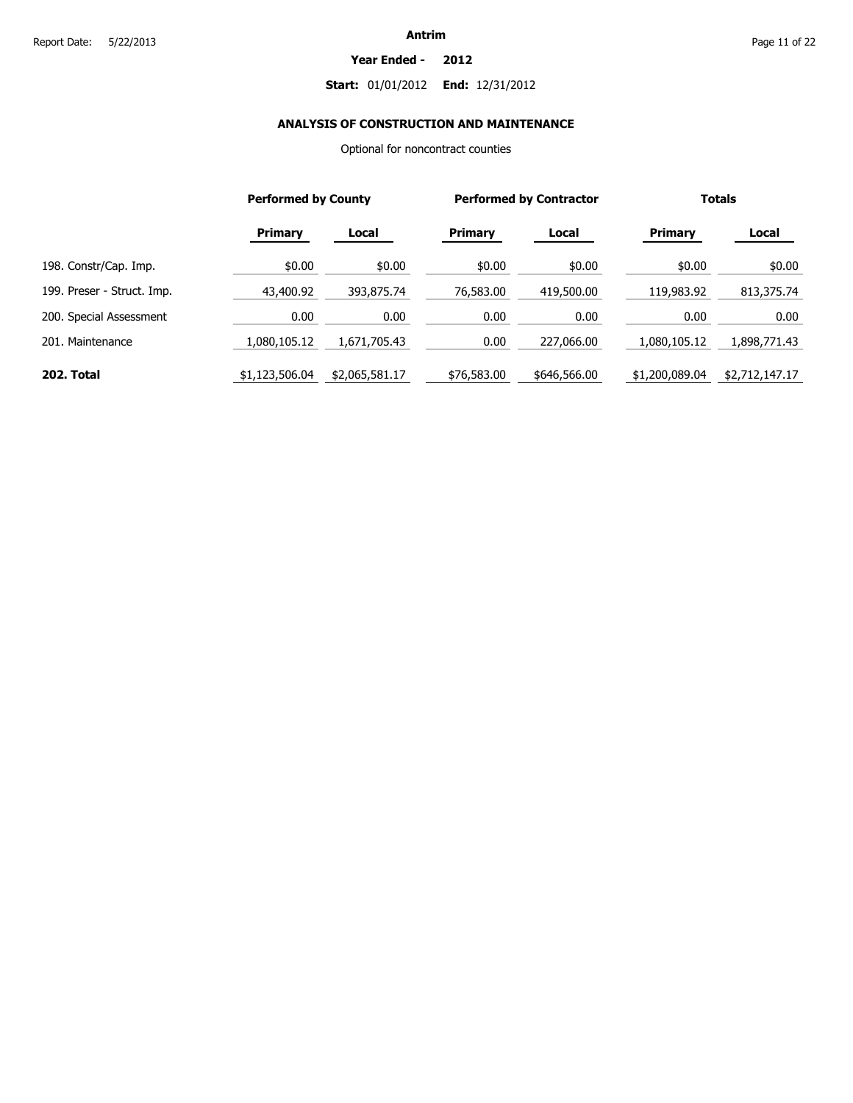#### **Year Ended - 2012**

# **Start:** 01/01/2012 **End:** 12/31/2012

# **ANALYSIS OF CONSTRUCTION AND MAINTENANCE**

Optional for noncontract counties

|                            | <b>Performed by County</b> |                |                | <b>Performed by Contractor</b> |                | <b>Totals</b>  |
|----------------------------|----------------------------|----------------|----------------|--------------------------------|----------------|----------------|
|                            | <b>Primary</b>             | Local          | <b>Primary</b> | Local                          | <b>Primary</b> | Local          |
| 198. Constr/Cap. Imp.      | \$0.00                     | \$0.00         | \$0.00         | \$0.00                         | \$0.00         | \$0.00         |
| 199. Preser - Struct. Imp. | 43,400.92                  | 393,875.74     | 76,583.00      | 419,500.00                     | 119,983.92     | 813,375.74     |
| 200. Special Assessment    | 0.00                       | 0.00           | 0.00           | 0.00                           | 0.00           | 0.00           |
| 201. Maintenance           | 1,080,105.12               | 1,671,705.43   | 0.00           | 227,066,00                     | 1,080,105.12   | 1,898,771.43   |
| 202. Total                 | \$1,123,506.04             | \$2,065,581.17 | \$76,583.00    | \$646,566.00                   | \$1,200,089.04 | \$2,712,147.17 |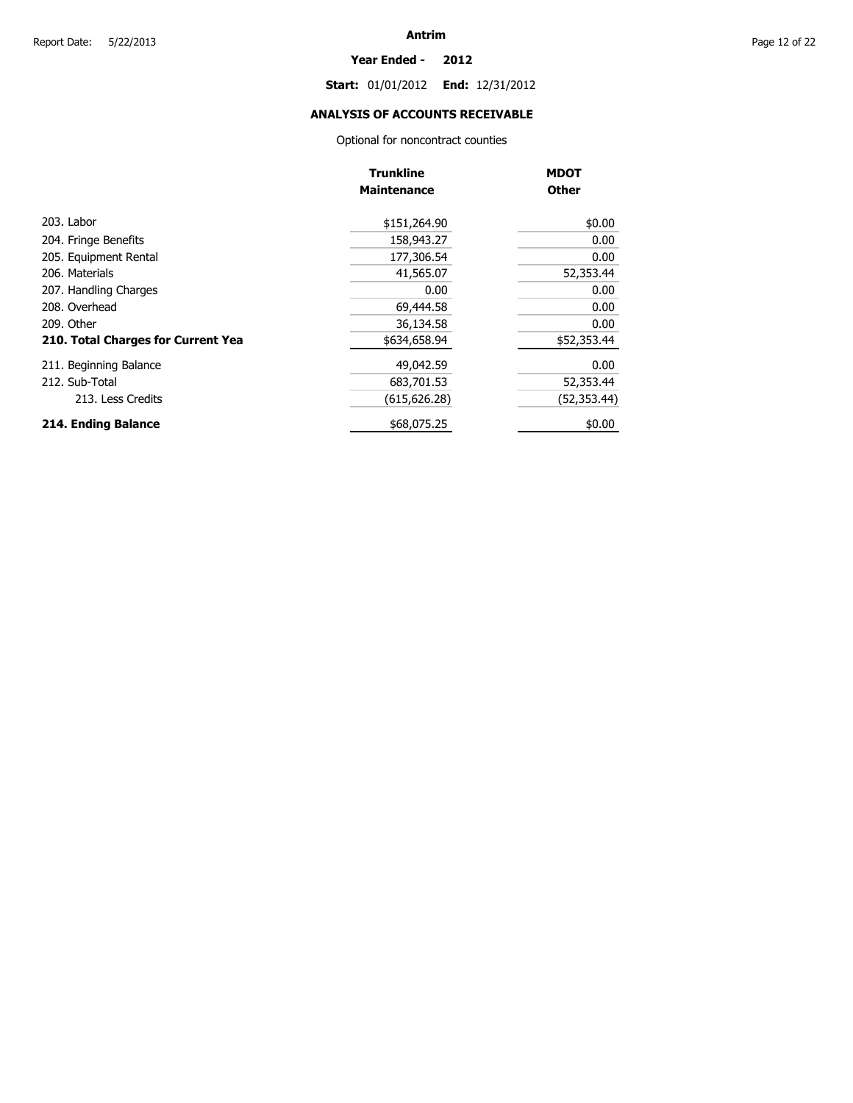#### **Year Ended - 2012**

**Start:** 01/01/2012 **End:** 12/31/2012

# **ANALYSIS OF ACCOUNTS RECEIVABLE**

Optional for noncontract counties

|                                    | <b>Trunkline</b>   | <b>MDOT</b>  |
|------------------------------------|--------------------|--------------|
|                                    | <b>Maintenance</b> | <b>Other</b> |
| 203. Labor                         | \$151,264.90       | \$0.00       |
| 204. Fringe Benefits               | 158,943.27         | 0.00         |
| 205. Equipment Rental              | 177,306.54         | 0.00         |
| 206. Materials                     | 41,565.07          | 52,353.44    |
| 207. Handling Charges              | 0.00               | 0.00         |
| 208. Overhead                      | 69,444.58          | 0.00         |
| 209. Other                         | 36,134.58          | 0.00         |
| 210. Total Charges for Current Yea | \$634,658.94       | \$52,353.44  |
| 211. Beginning Balance             | 49,042.59          | 0.00         |
| 212. Sub-Total                     | 683,701.53         | 52,353.44    |
| 213. Less Credits                  | (615, 626.28)      | (52, 353.44) |
| 214. Ending Balance                | \$68,075.25        | \$0.00       |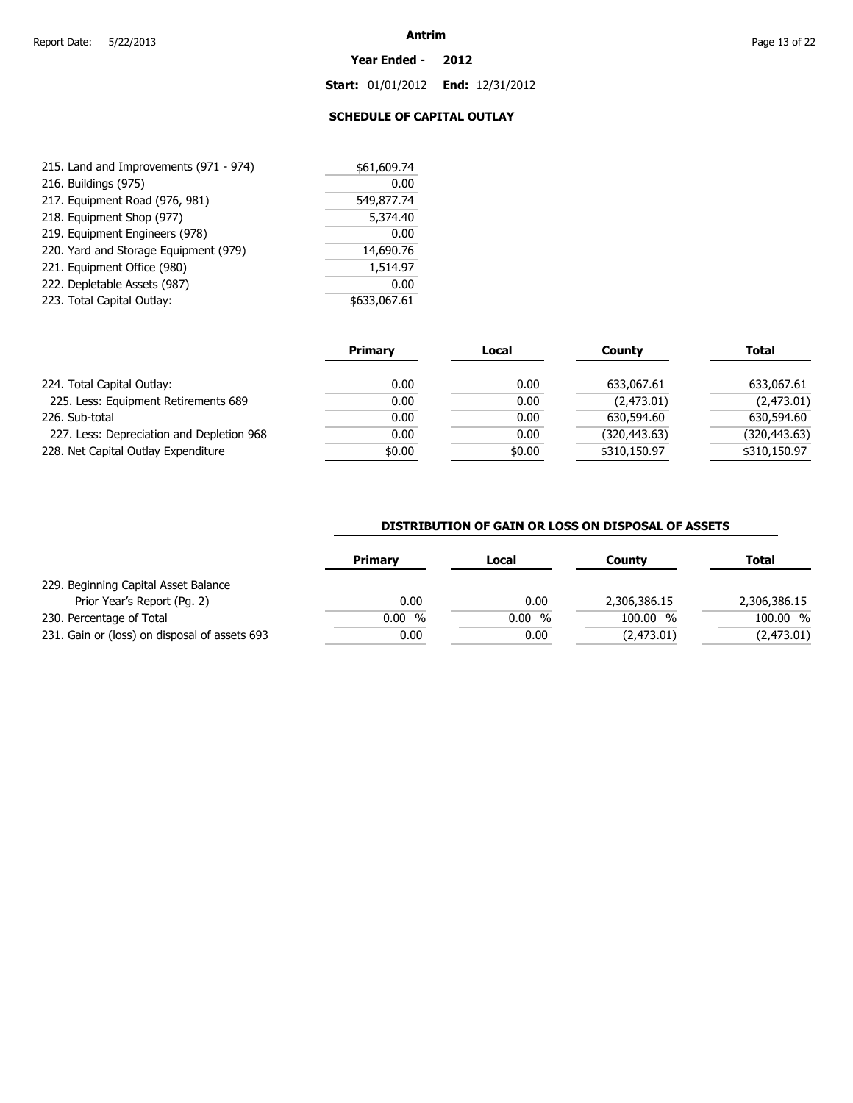#### **Year Ended - 2012**

**Start:** 01/01/2012 **End:** 12/31/2012

# **SCHEDULE OF CAPITAL OUTLAY**

| 215. Land and Improvements (971 - 974) | \$61,609.74  |  |
|----------------------------------------|--------------|--|
| 216. Buildings (975)                   | 0.00         |  |
| 217. Equipment Road (976, 981)         | 549,877.74   |  |
| 218. Equipment Shop (977)              | 5,374.40     |  |
| 219. Equipment Engineers (978)         | 0.00         |  |
| 220. Yard and Storage Equipment (979)  | 14,690.76    |  |
| 221. Equipment Office (980)            | 1,514.97     |  |
| 222. Depletable Assets (987)           | 0.00         |  |
| 223. Total Capital Outlay:             | \$633,067.61 |  |

|                                           | <b>Primary</b> | Local  | County        | <b>Total</b> |
|-------------------------------------------|----------------|--------|---------------|--------------|
| 224. Total Capital Outlay:                | 0.00           | 0.00   | 633.067.61    | 633,067.61   |
| 225. Less: Equipment Retirements 689      | 0.00           | 0.00   | (2,473.01)    | (2,473.01)   |
| 226. Sub-total                            | 0.00           | 0.00   | 630,594.60    | 630,594.60   |
| 227. Less: Depreciation and Depletion 968 | 0.00           | 0.00   | (320, 443.63) | (320,443.63) |
| 228. Net Capital Outlay Expenditure       | \$0.00         | \$0.00 | \$310,150.97  | \$310,150.97 |

## **DISTRIBUTION OF GAIN OR LOSS ON DISPOSAL OF ASSETS**

|                                               | <b>Primary</b> | Local | County       | Total        |
|-----------------------------------------------|----------------|-------|--------------|--------------|
| 229. Beginning Capital Asset Balance          |                |       |              |              |
| Prior Year's Report (Pg. 2)                   | 0.00           | 0.00  | 2,306,386.15 | 2,306,386.15 |
| 230. Percentage of Total                      | $0.00\%$       | 0.00% | 100.00 %     | 100.00 %     |
| 231. Gain or (loss) on disposal of assets 693 | $0.00\,$       | 0.00  | (2,473.01)   | (2,473.01)   |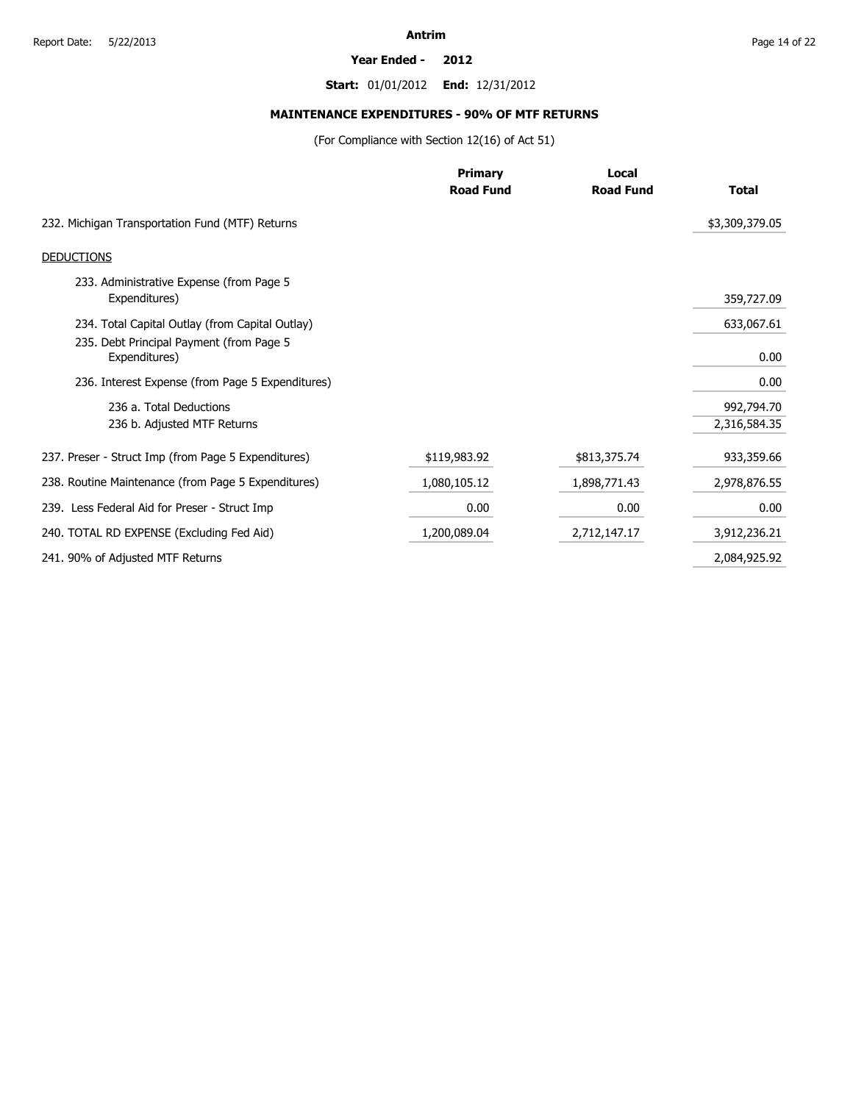#### **Year Ended - 2012**

**Start:** 01/01/2012 **End:** 12/31/2012

# **MAINTENANCE EXPENDITURES - 90% OF MTF RETURNS**

(For Compliance with Section 12(16) of Act 51)

|                                                           | <b>Primary</b>   | Local            |                |
|-----------------------------------------------------------|------------------|------------------|----------------|
|                                                           | <b>Road Fund</b> | <b>Road Fund</b> | <b>Total</b>   |
| 232. Michigan Transportation Fund (MTF) Returns           |                  |                  | \$3,309,379.05 |
| <b>DEDUCTIONS</b>                                         |                  |                  |                |
| 233. Administrative Expense (from Page 5<br>Expenditures) |                  |                  | 359,727.09     |
| 234. Total Capital Outlay (from Capital Outlay)           |                  |                  | 633,067.61     |
| 235. Debt Principal Payment (from Page 5<br>Expenditures) |                  |                  | 0.00           |
| 236. Interest Expense (from Page 5 Expenditures)          |                  |                  | 0.00           |
| 236 a. Total Deductions                                   |                  |                  | 992,794.70     |
| 236 b. Adjusted MTF Returns                               |                  |                  | 2,316,584.35   |
| 237. Preser - Struct Imp (from Page 5 Expenditures)       | \$119,983.92     | \$813,375.74     | 933,359.66     |
| 238. Routine Maintenance (from Page 5 Expenditures)       | 1,080,105.12     | 1,898,771.43     | 2,978,876.55   |
| 239. Less Federal Aid for Preser - Struct Imp             | 0.00             | 0.00             | 0.00           |
| 240. TOTAL RD EXPENSE (Excluding Fed Aid)                 | 1,200,089.04     | 2,712,147.17     | 3,912,236.21   |
| 241. 90% of Adjusted MTF Returns                          |                  |                  | 2,084,925.92   |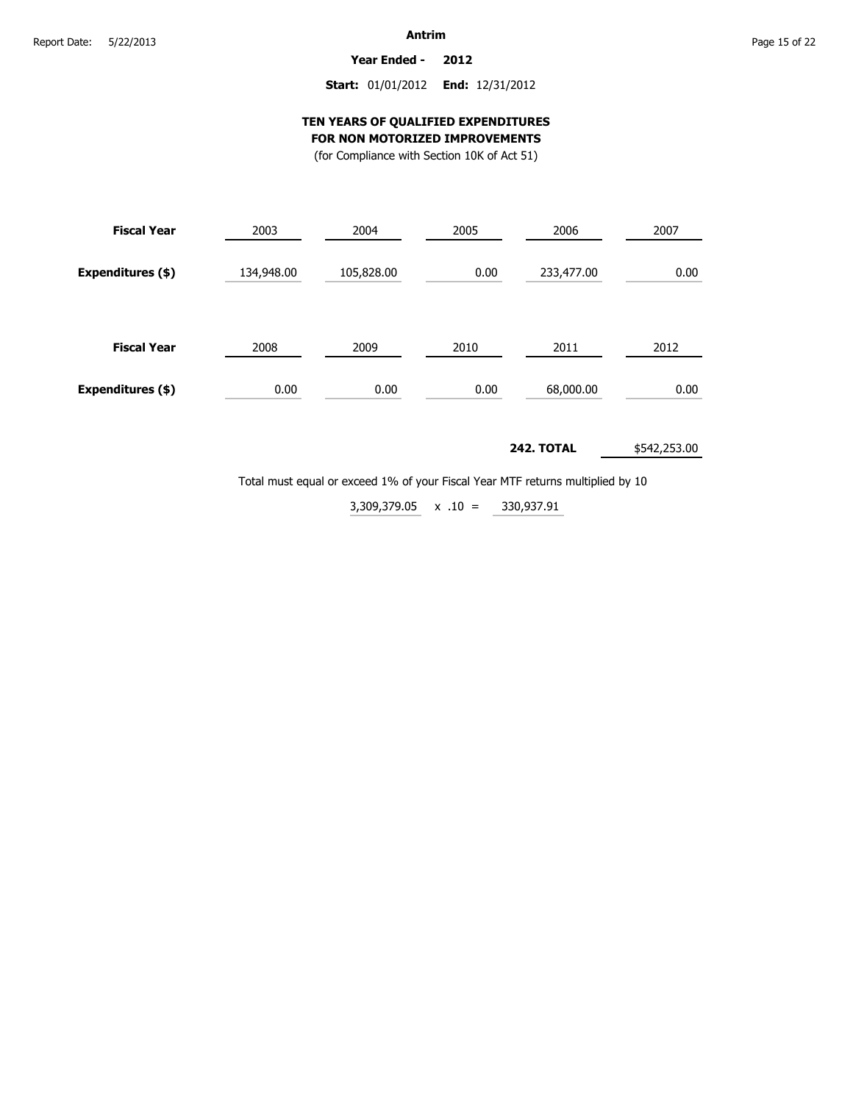**Year Ended - 2012**

## **Start:** 01/01/2012 **End:** 12/31/2012

## **TEN YEARS OF QUALIFIED EXPENDITURES FOR NON MOTORIZED IMPROVEMENTS**

(for Compliance with Section 10K of Act 51)

| <b>Fiscal Year</b> | 2003       | 2004       | 2005 | 2006       | 2007 |  |
|--------------------|------------|------------|------|------------|------|--|
| Expenditures (\$)  | 134,948.00 | 105,828.00 | 0.00 | 233,477.00 | 0.00 |  |
| <b>Fiscal Year</b> | 2008       | 2009       | 2010 | 2011       | 2012 |  |
| Expenditures (\$)  | 0.00       | 0.00       | 0.00 | 68,000.00  | 0.00 |  |

**242. TOTAL** \$542,253.00

Total must equal or exceed 1% of your Fiscal Year MTF returns multiplied by 10

330,937.91  $3,309,379.05 \times .10 =$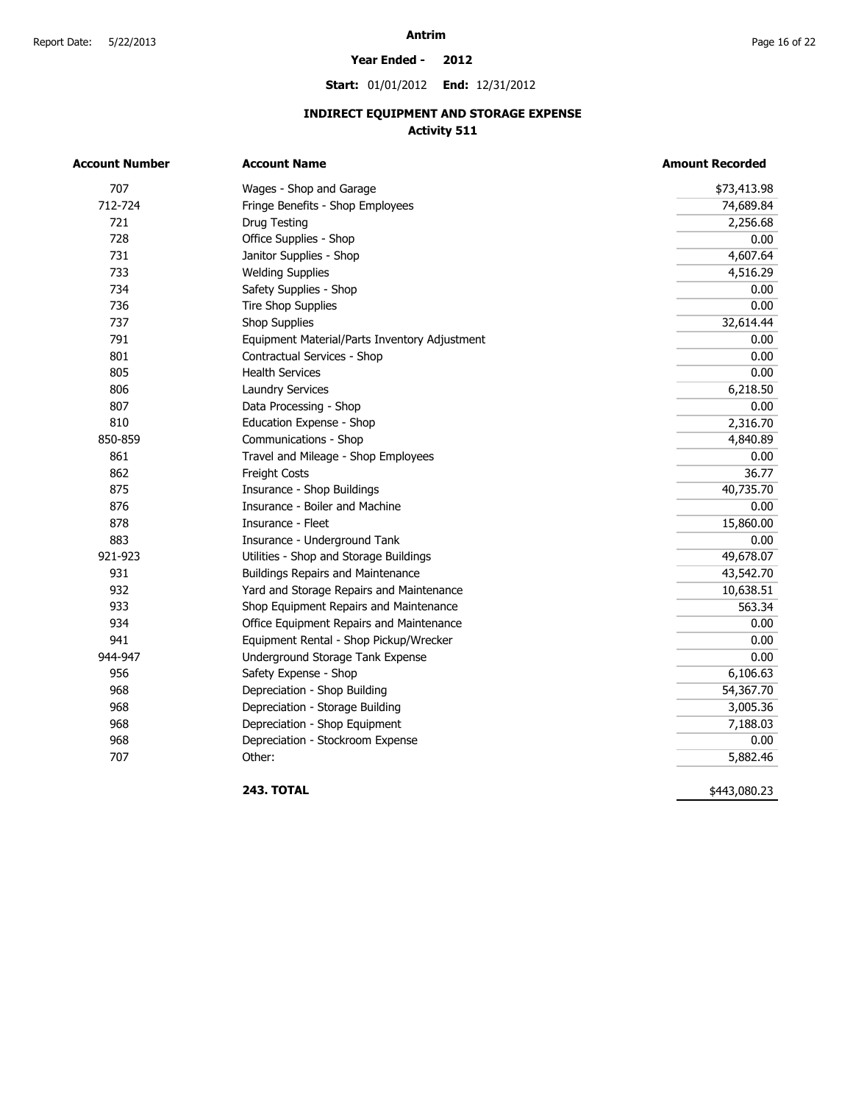#### **Year Ended - 2012**

**Start:** 01/01/2012 **End:** 12/31/2012

# **INDIRECT EQUIPMENT AND STORAGE EXPENSE Activity 511**

| <b>Account Number</b> | <b>Account Name</b>                           | <b>Amount Recorded</b> |  |  |
|-----------------------|-----------------------------------------------|------------------------|--|--|
| 707                   | Wages - Shop and Garage                       | \$73,413.98            |  |  |
| 712-724               | Fringe Benefits - Shop Employees              | 74,689.84              |  |  |
| 721                   | Drug Testing                                  | 2,256.68               |  |  |
| 728                   | Office Supplies - Shop                        | 0.00                   |  |  |
| 731                   | Janitor Supplies - Shop                       | 4,607.64               |  |  |
| 733                   | <b>Welding Supplies</b>                       | 4,516.29               |  |  |
| 734                   | Safety Supplies - Shop                        | 0.00                   |  |  |
| 736                   | <b>Tire Shop Supplies</b>                     | 0.00                   |  |  |
| 737                   | <b>Shop Supplies</b>                          | 32,614.44              |  |  |
| 791                   | Equipment Material/Parts Inventory Adjustment | 0.00                   |  |  |
| 801                   | Contractual Services - Shop                   | 0.00                   |  |  |
| 805                   | <b>Health Services</b>                        | 0.00                   |  |  |
| 806                   | <b>Laundry Services</b>                       | 6,218.50               |  |  |
| 807                   | Data Processing - Shop                        | 0.00                   |  |  |
| 810                   | Education Expense - Shop                      | 2,316.70               |  |  |
| 850-859               | Communications - Shop                         | 4,840.89               |  |  |
| 861                   | Travel and Mileage - Shop Employees           | 0.00                   |  |  |
| 862                   | Freight Costs                                 | 36.77                  |  |  |
| 875                   | Insurance - Shop Buildings                    | 40,735.70              |  |  |
| 876                   | Insurance - Boiler and Machine                | 0.00                   |  |  |
| 878                   | Insurance - Fleet                             | 15,860.00              |  |  |
| 883                   | Insurance - Underground Tank                  | 0.00                   |  |  |
| 921-923               | Utilities - Shop and Storage Buildings        | 49,678.07              |  |  |
| 931                   | <b>Buildings Repairs and Maintenance</b>      | 43,542.70              |  |  |
| 932                   | Yard and Storage Repairs and Maintenance      | 10,638.51              |  |  |
| 933                   | Shop Equipment Repairs and Maintenance        | 563.34                 |  |  |
| 934                   | Office Equipment Repairs and Maintenance      | 0.00                   |  |  |
| 941                   | Equipment Rental - Shop Pickup/Wrecker        | 0.00                   |  |  |
| 944-947               | Underground Storage Tank Expense              | 0.00                   |  |  |
| 956                   | Safety Expense - Shop                         | 6,106.63               |  |  |
| 968                   | Depreciation - Shop Building                  | 54,367.70              |  |  |
| 968                   | Depreciation - Storage Building               | 3,005.36               |  |  |
| 968                   | Depreciation - Shop Equipment                 | 7,188.03               |  |  |
| 968                   | Depreciation - Stockroom Expense              | 0.00                   |  |  |
| 707                   | Other:                                        | 5,882.46               |  |  |

**243. TOTAL** 

\$443,080.23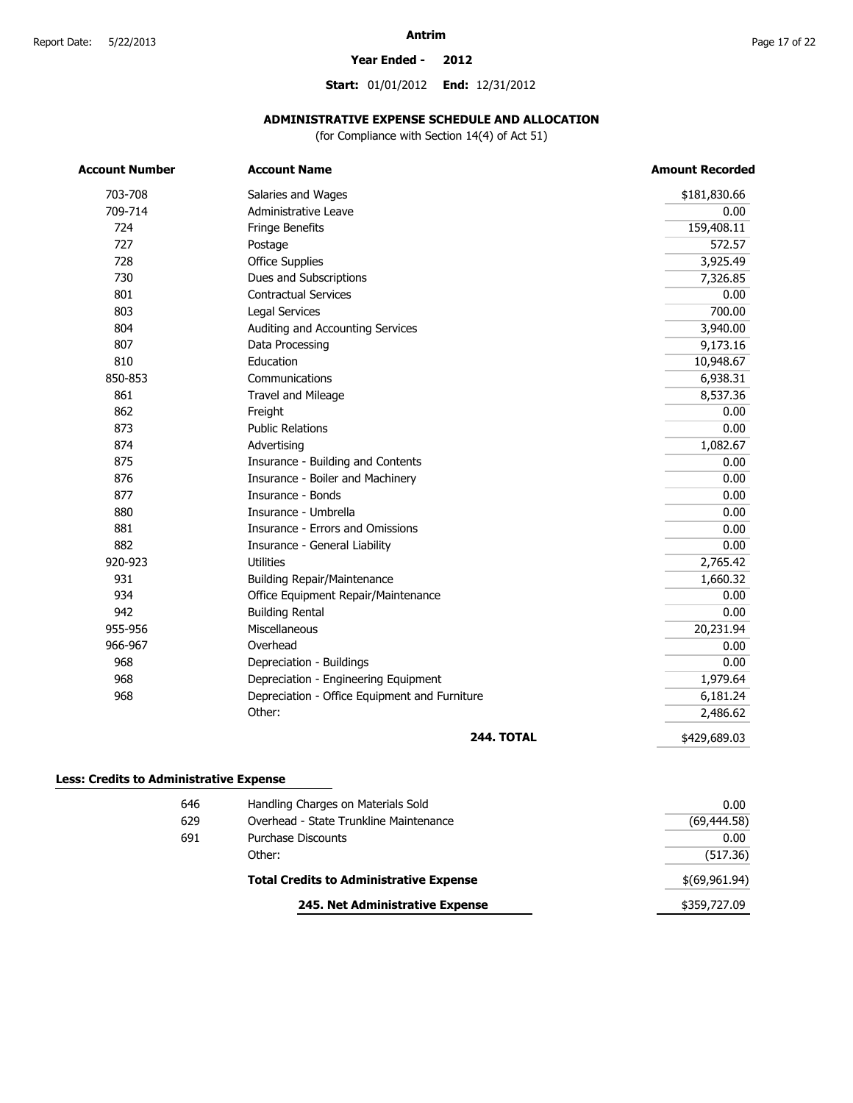#### **Year Ended - 2012**

**Start:** 01/01/2012 **End:** 12/31/2012

# **ADMINISTRATIVE EXPENSE SCHEDULE AND ALLOCATION**

(for Compliance with Section 14(4) of Act 51)

| <b>Account Number</b> | <b>Account Name</b>                           | <b>Amount Recorded</b> |
|-----------------------|-----------------------------------------------|------------------------|
| 703-708               | Salaries and Wages                            | \$181,830.66           |
| 709-714               | Administrative Leave                          | 0.00                   |
| 724                   | Fringe Benefits                               | 159,408.11             |
| 727                   | Postage                                       | 572.57                 |
| 728                   | Office Supplies                               | 3,925.49               |
| 730                   | Dues and Subscriptions                        | 7,326.85               |
| 801                   | <b>Contractual Services</b>                   | 0.00                   |
| 803                   | <b>Legal Services</b>                         | 700.00                 |
| 804                   | Auditing and Accounting Services              | 3,940.00               |
| 807                   | Data Processing                               | 9,173.16               |
| 810                   | Education                                     | 10,948.67              |
| 850-853               | Communications                                | 6,938.31               |
| 861                   | Travel and Mileage                            | 8,537.36               |
| 862                   | Freight                                       | 0.00                   |
| 873                   | <b>Public Relations</b>                       | 0.00                   |
| 874                   | Advertising                                   | 1,082.67               |
| 875                   | Insurance - Building and Contents             | 0.00                   |
| 876                   | Insurance - Boiler and Machinery              | 0.00                   |
| 877                   | Insurance - Bonds                             | 0.00                   |
| 880                   | Insurance - Umbrella                          | 0.00                   |
| 881                   | Insurance - Errors and Omissions              | 0.00                   |
| 882                   | Insurance - General Liability                 | 0.00                   |
| 920-923               | <b>Utilities</b>                              | 2,765.42               |
| 931                   | <b>Building Repair/Maintenance</b>            | 1,660.32               |
| 934                   | Office Equipment Repair/Maintenance           | 0.00                   |
| 942                   | <b>Building Rental</b>                        | 0.00                   |
| 955-956               | Miscellaneous                                 | 20,231.94              |
| 966-967               | Overhead                                      | 0.00                   |
| 968                   | Depreciation - Buildings                      | 0.00                   |
| 968                   | Depreciation - Engineering Equipment          | 1,979.64               |
| 968                   | Depreciation - Office Equipment and Furniture | 6,181.24               |
|                       | Other:                                        | 2,486.62               |
|                       | <b>244. TOTAL</b>                             | \$429,689.03           |
|                       |                                               |                        |

# **Less: Credits to Administrative Expense**

| 646 | Handling Charges on Materials Sold             | 0.00          |
|-----|------------------------------------------------|---------------|
| 629 | Overhead - State Trunkline Maintenance         | (69, 444.58)  |
| 691 | Purchase Discounts                             | 0.00          |
|     | Other:                                         | (517.36)      |
|     | <b>Total Credits to Administrative Expense</b> | \$(69,961.94) |
|     | 245. Net Administrative Expense                | \$359,727.09  |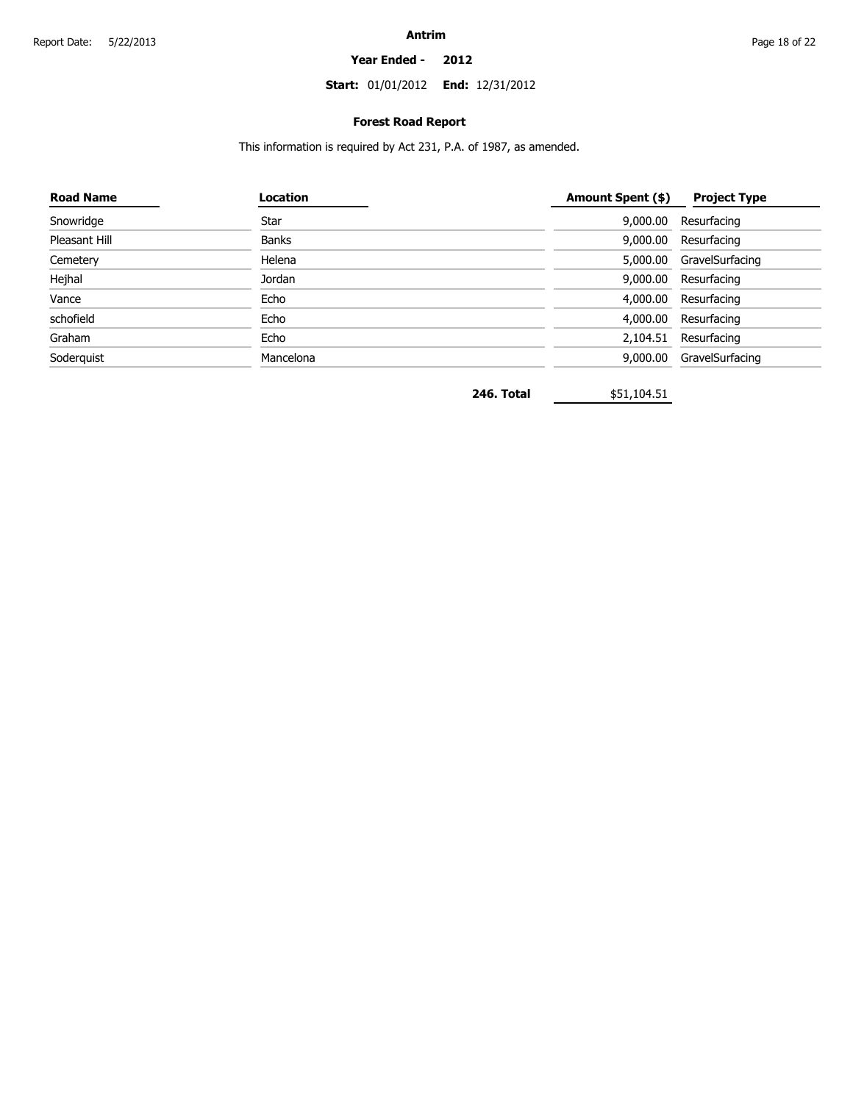#### **Year Ended - 2012**

**Start:** 01/01/2012 **End:** 12/31/2012

## **Forest Road Report**

This information is required by Act 231, P.A. of 1987, as amended.

| <b>Road Name</b> | Location     | <b>Amount Spent (\$)</b> | <b>Project Type</b>      |
|------------------|--------------|--------------------------|--------------------------|
| Snowridge        | Star         | 9,000.00                 | Resurfacing              |
| Pleasant Hill    | <b>Banks</b> |                          | 9,000.00 Resurfacing     |
| Cemetery         | Helena       |                          | 5,000.00 GravelSurfacing |
| Hejhal           | Jordan       |                          | 9,000.00 Resurfacing     |
| Vance            | Echo         |                          | 4,000.00 Resurfacing     |
| schofield        | Echo         |                          | 4,000.00 Resurfacing     |
| Graham           | Echo         |                          | 2,104.51 Resurfacing     |
| Soderquist       | Mancelona    |                          | 9,000.00 GravelSurfacing |

**246. Total** \$51,104.51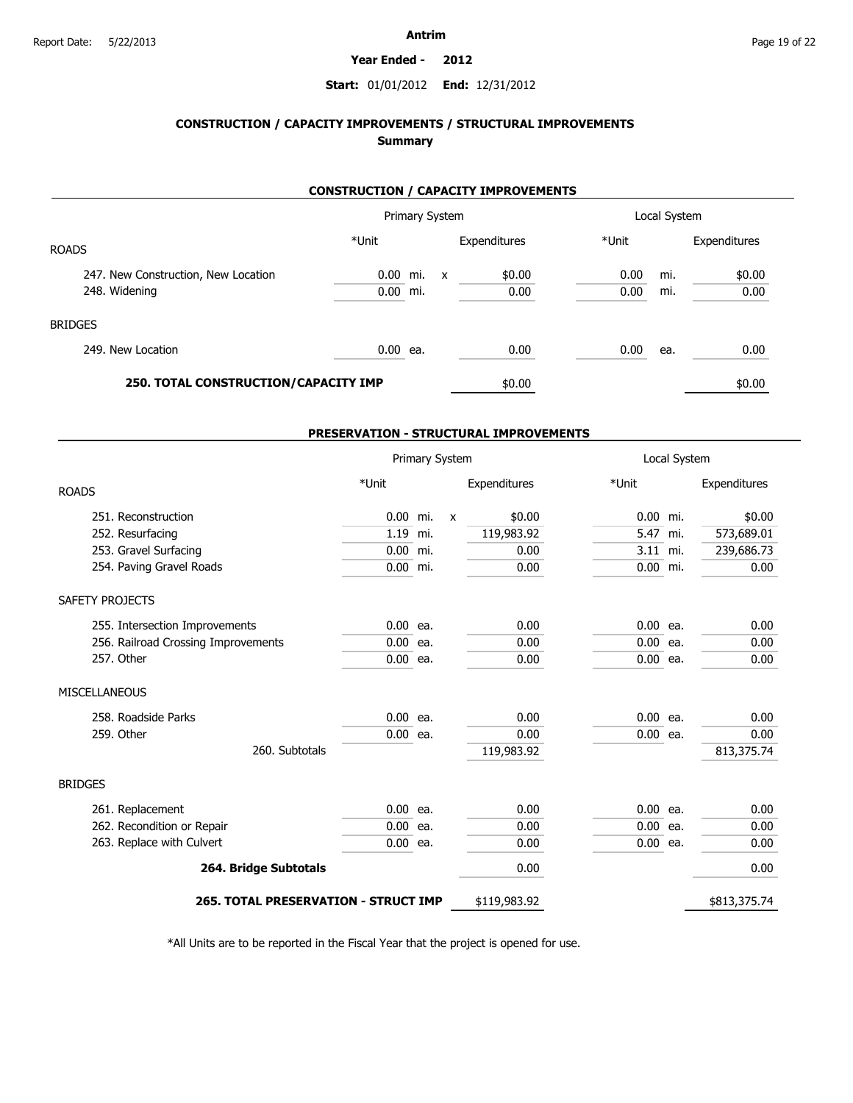#### **Year Ended - 2012**

### **Start:** 01/01/2012 **End:** 12/31/2012

# **CONSTRUCTION / CAPACITY IMPROVEMENTS / STRUCTURAL IMPROVEMENTS Summary**

## **CONSTRUCTION / CAPACITY IMPROVEMENTS**

|                                      | Primary System |  |              | Local System |       |     |              |
|--------------------------------------|----------------|--|--------------|--------------|-------|-----|--------------|
| <b>ROADS</b>                         | *Unit          |  |              | Expenditures | *Unit |     | Expenditures |
| 247. New Construction, New Location  | $0.00$ mi.     |  | $\mathsf{x}$ | \$0.00       | 0.00  | mi. | \$0.00       |
| 248. Widening                        | $0.00$ mi.     |  |              | 0.00         | 0.00  | mi. | 0.00         |
| <b>BRIDGES</b>                       |                |  |              |              |       |     |              |
| 249. New Location                    | $0.00$ ea.     |  |              | 0.00         | 0.00  | ea. | 0.00         |
| 250. TOTAL CONSTRUCTION/CAPACITY IMP |                |  |              | \$0.00       |       |     | \$0.00       |

### **PRESERVATION - STRUCTURAL IMPROVEMENTS**

|                                             | Primary System |  |              |              | Local System |  |              |  |
|---------------------------------------------|----------------|--|--------------|--------------|--------------|--|--------------|--|
| <b>ROADS</b>                                | *Unit          |  |              | Expenditures | *Unit        |  | Expenditures |  |
| 251. Reconstruction                         | $0.00$ mi.     |  | $\mathsf{x}$ | \$0.00       | $0.00$ mi.   |  | \$0.00       |  |
| 252. Resurfacing                            | 1.19 mi.       |  |              | 119,983.92   | 5.47 mi.     |  | 573,689.01   |  |
| 253. Gravel Surfacing                       | 0.00 mi.       |  |              | 0.00         | 3.11 mi.     |  | 239,686.73   |  |
| 254. Paving Gravel Roads                    | $0.00$ mi.     |  |              | 0.00         | $0.00$ mi.   |  | 0.00         |  |
| <b>SAFETY PROJECTS</b>                      |                |  |              |              |              |  |              |  |
| 255. Intersection Improvements              | $0.00$ ea.     |  |              | 0.00         | $0.00$ ea.   |  | 0.00         |  |
| 256. Railroad Crossing Improvements         | $0.00$ ea.     |  |              | 0.00         | $0.00$ ea.   |  | 0.00         |  |
| 257. Other                                  | $0.00$ ea.     |  |              | 0.00         | $0.00$ ea.   |  | 0.00         |  |
| <b>MISCELLANEOUS</b>                        |                |  |              |              |              |  |              |  |
| 258. Roadside Parks                         | $0.00$ ea.     |  |              | 0.00         | $0.00$ ea.   |  | 0.00         |  |
| 259. Other                                  | $0.00$ ea.     |  |              | 0.00         | $0.00$ ea.   |  | 0.00         |  |
| 260. Subtotals                              |                |  |              | 119,983.92   |              |  | 813,375.74   |  |
| <b>BRIDGES</b>                              |                |  |              |              |              |  |              |  |
| 261. Replacement                            | $0.00$ ea.     |  |              | 0.00         | $0.00$ ea.   |  | 0.00         |  |
| 262. Recondition or Repair                  | $0.00$ ea.     |  |              | 0.00         | $0.00$ ea.   |  | 0.00         |  |
| 263. Replace with Culvert                   | $0.00$ ea.     |  |              | 0.00         | $0.00$ ea.   |  | 0.00         |  |
| 264. Bridge Subtotals                       |                |  |              | 0.00         |              |  | 0.00         |  |
| <b>265. TOTAL PRESERVATION - STRUCT IMP</b> |                |  |              | \$119,983.92 |              |  | \$813,375.74 |  |

\*All Units are to be reported in the Fiscal Year that the project is opened for use.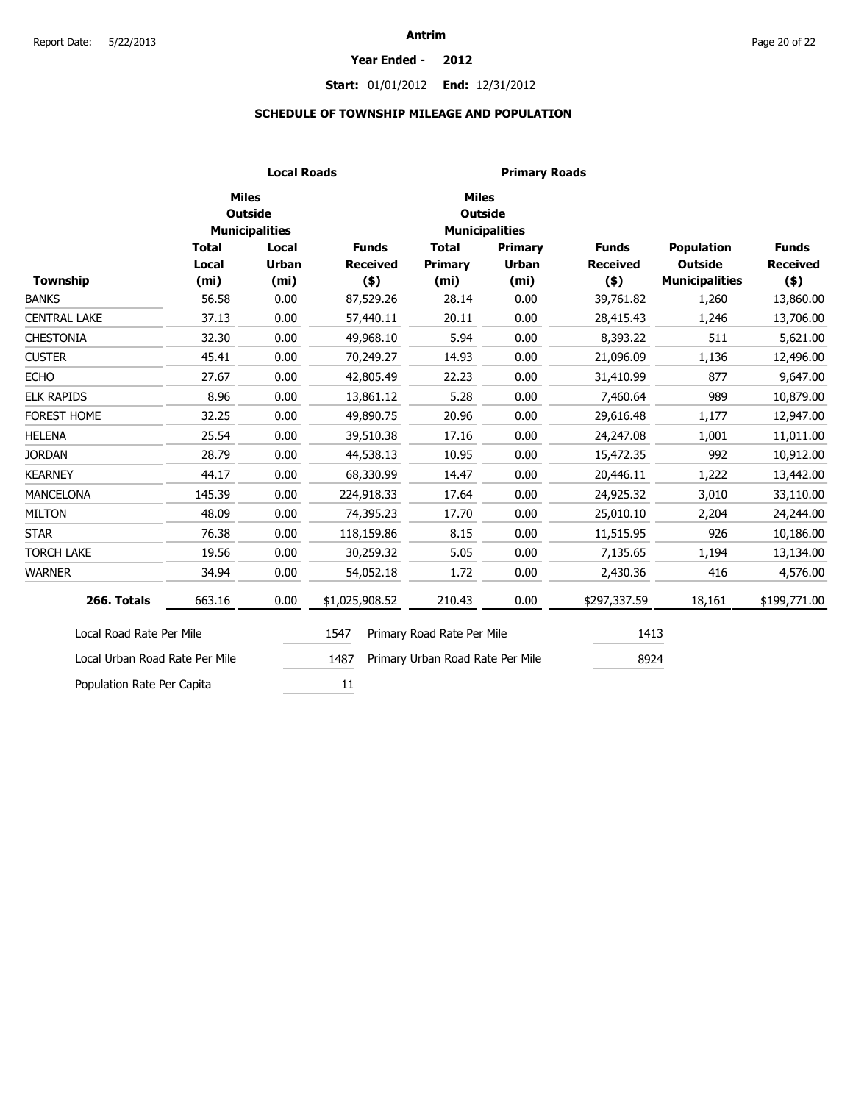#### **Year Ended - 2012**

# **Start:** 01/01/2012 **End:** 12/31/2012

## **SCHEDULE OF TOWNSHIP MILEAGE AND POPULATION**

|                                |                       | <b>Local Roads</b>             |                                 |                                  | <b>Primary Roads</b>           |                                 |                                     |                                 |
|--------------------------------|-----------------------|--------------------------------|---------------------------------|----------------------------------|--------------------------------|---------------------------------|-------------------------------------|---------------------------------|
|                                |                       | <b>Miles</b><br><b>Outside</b> |                                 |                                  | <b>Miles</b><br><b>Outside</b> |                                 |                                     |                                 |
|                                |                       | <b>Municipalities</b>          |                                 | <b>Municipalities</b>            |                                |                                 |                                     |                                 |
|                                | <b>Total</b><br>Local | Local<br><b>Urban</b>          | <b>Funds</b><br><b>Received</b> | <b>Total</b><br>Primary          | Primary<br><b>Urban</b>        | <b>Funds</b><br><b>Received</b> | <b>Population</b><br><b>Outside</b> | <b>Funds</b><br><b>Received</b> |
| <b>Township</b>                | (m <sub>i</sub> )     | (m <sub>i</sub> )              | $($ \$)                         | (m <sub>i</sub> )                | (m <sub>i</sub> )              | $($ \$)                         | <b>Municipalities</b>               | $(*)$                           |
| <b>BANKS</b>                   | 56.58                 | 0.00                           | 87,529.26                       | 28.14                            | 0.00                           | 39,761.82                       | 1,260                               | 13,860.00                       |
| <b>CENTRAL LAKE</b>            | 37.13                 | 0.00                           | 57,440.11                       | 20.11                            | 0.00                           | 28,415.43                       | 1,246                               | 13,706.00                       |
| <b>CHESTONIA</b>               | 32.30                 | 0.00                           | 49,968.10                       | 5.94                             | 0.00                           | 8,393.22                        | 511                                 | 5,621.00                        |
| <b>CUSTER</b>                  | 45.41                 | 0.00                           | 70,249.27                       | 14.93                            | 0.00                           | 21,096.09                       | 1,136                               | 12,496.00                       |
| <b>ECHO</b>                    | 27.67                 | 0.00                           | 42,805.49                       | 22.23                            | 0.00                           | 31,410.99                       | 877                                 | 9,647.00                        |
| <b>ELK RAPIDS</b>              | 8.96                  | 0.00                           | 13,861.12                       | 5.28                             | 0.00                           | 7,460.64                        | 989                                 | 10,879.00                       |
| <b>FOREST HOME</b>             | 32.25                 | 0.00                           | 49,890.75                       | 20.96                            | 0.00                           | 29,616.48                       | 1,177                               | 12,947.00                       |
| <b>HELENA</b>                  | 25.54                 | 0.00                           | 39,510.38                       | 17.16                            | 0.00                           | 24,247.08                       | 1,001                               | 11,011.00                       |
| <b>JORDAN</b>                  | 28.79                 | 0.00                           | 44,538.13                       | 10.95                            | 0.00                           | 15,472.35                       | 992                                 | 10,912.00                       |
| <b>KEARNEY</b>                 | 44.17                 | 0.00                           | 68,330.99                       | 14.47                            | 0.00                           | 20,446.11                       | 1,222                               | 13,442.00                       |
| <b>MANCELONA</b>               | 145.39                | 0.00                           | 224,918.33                      | 17.64                            | 0.00                           | 24,925.32                       | 3,010                               | 33,110.00                       |
| <b>MILTON</b>                  | 48.09                 | 0.00                           | 74,395.23                       | 17.70                            | 0.00                           | 25,010.10                       | 2,204                               | 24,244.00                       |
| <b>STAR</b>                    | 76.38                 | 0.00                           | 118,159.86                      | 8.15                             | 0.00                           | 11,515.95                       | 926                                 | 10,186.00                       |
| <b>TORCH LAKE</b>              | 19.56                 | 0.00                           | 30,259.32                       | 5.05                             | 0.00                           | 7,135.65                        | 1,194                               | 13,134.00                       |
| <b>WARNER</b>                  | 34.94                 | 0.00                           | 54,052.18                       | 1.72                             | 0.00                           | 2,430.36                        | 416                                 | 4,576.00                        |
| 266. Totals                    | 663.16                | 0.00                           | \$1,025,908.52                  | 210.43                           | 0.00                           | \$297,337.59                    | 18,161                              | \$199,771.00                    |
| Local Road Rate Per Mile       |                       |                                | 1547                            | Primary Road Rate Per Mile       |                                | 1413                            |                                     |                                 |
| Local Urban Road Rate Per Mile |                       |                                | 1487                            | Primary Urban Road Rate Per Mile |                                | 8924                            |                                     |                                 |
| Population Rate Per Capita     |                       |                                | 11                              |                                  |                                |                                 |                                     |                                 |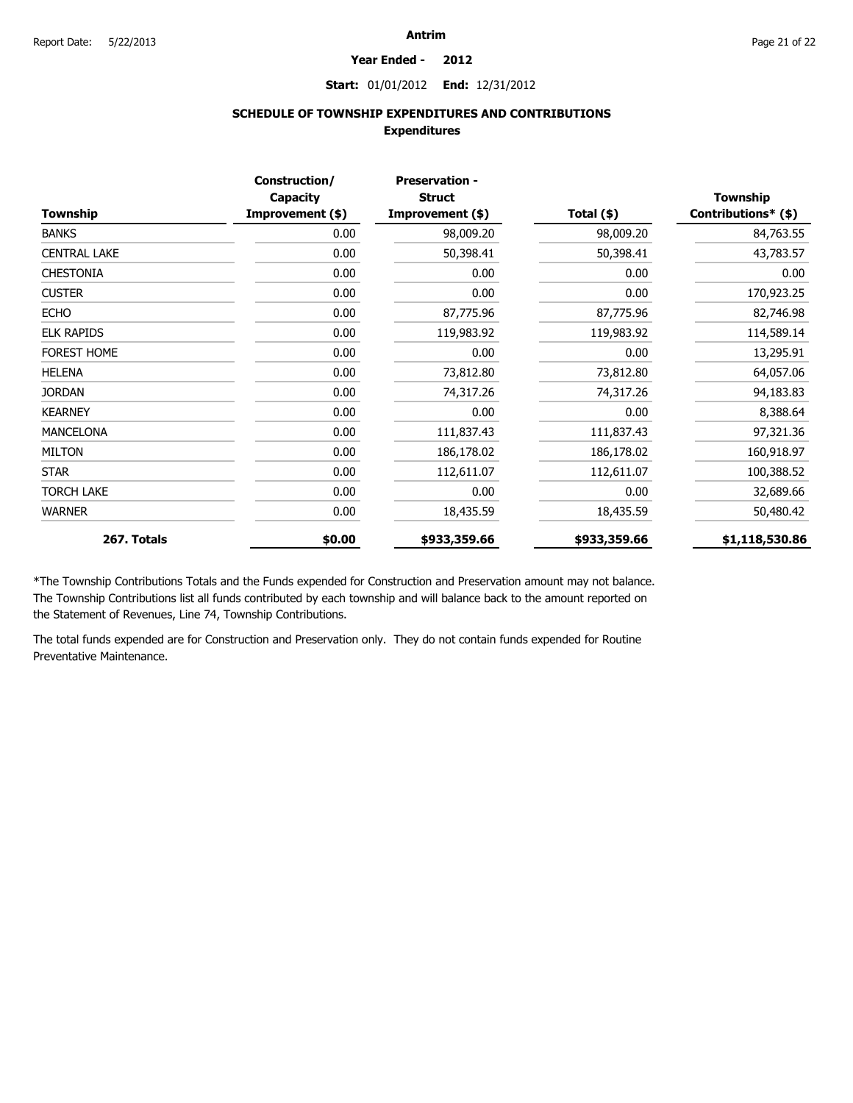#### **Year Ended - 2012**

### **Start:** 01/01/2012 **End:** 12/31/2012

# **SCHEDULE OF TOWNSHIP EXPENDITURES AND CONTRIBUTIONS Expenditures**

|                     | Construction/<br>Capacity | <b>Preservation -</b><br><b>Struct</b> |              | Township<br>Contributions* (\$) |  |
|---------------------|---------------------------|----------------------------------------|--------------|---------------------------------|--|
| Township            | Improvement (\$)          | Improvement (\$)                       | Total $(*)$  |                                 |  |
| <b>BANKS</b>        | 0.00                      | 98,009.20                              | 98,009.20    | 84,763.55                       |  |
| <b>CENTRAL LAKE</b> | 0.00                      | 50,398.41                              | 50,398.41    | 43,783.57                       |  |
| <b>CHESTONIA</b>    | 0.00                      | 0.00                                   | 0.00         | 0.00                            |  |
| <b>CUSTER</b>       | 0.00                      | 0.00                                   | 0.00         | 170,923.25                      |  |
| <b>ECHO</b>         | 0.00                      | 87,775.96                              | 87,775.96    | 82,746.98                       |  |
| <b>ELK RAPIDS</b>   | 0.00                      | 119,983.92                             | 119,983.92   | 114,589.14                      |  |
| <b>FOREST HOME</b>  | 0.00                      | 0.00                                   | 0.00         | 13,295.91                       |  |
| <b>HELENA</b>       | 0.00                      | 73,812.80                              | 73,812.80    | 64,057.06                       |  |
| <b>JORDAN</b>       | 0.00                      | 74,317.26                              | 74,317.26    | 94,183.83                       |  |
| <b>KEARNEY</b>      | 0.00                      | 0.00                                   | 0.00         | 8,388.64                        |  |
| <b>MANCELONA</b>    | 0.00                      | 111,837.43                             | 111,837.43   | 97,321.36                       |  |
| <b>MILTON</b>       | 0.00                      | 186,178.02                             | 186,178.02   | 160,918.97                      |  |
| <b>STAR</b>         | 0.00                      | 112,611.07                             | 112,611.07   | 100,388.52                      |  |
| <b>TORCH LAKE</b>   | 0.00                      | 0.00                                   | 0.00         | 32,689.66                       |  |
| <b>WARNER</b>       | 0.00                      | 18,435.59                              | 18,435.59    | 50,480.42                       |  |
| 267. Totals         | \$0.00                    | \$933,359.66                           | \$933,359.66 | \$1,118,530.86                  |  |

\*The Township Contributions Totals and the Funds expended for Construction and Preservation amount may not balance. The Township Contributions list all funds contributed by each township and will balance back to the amount reported on the Statement of Revenues, Line 74, Township Contributions.

The total funds expended are for Construction and Preservation only. They do not contain funds expended for Routine Preventative Maintenance.